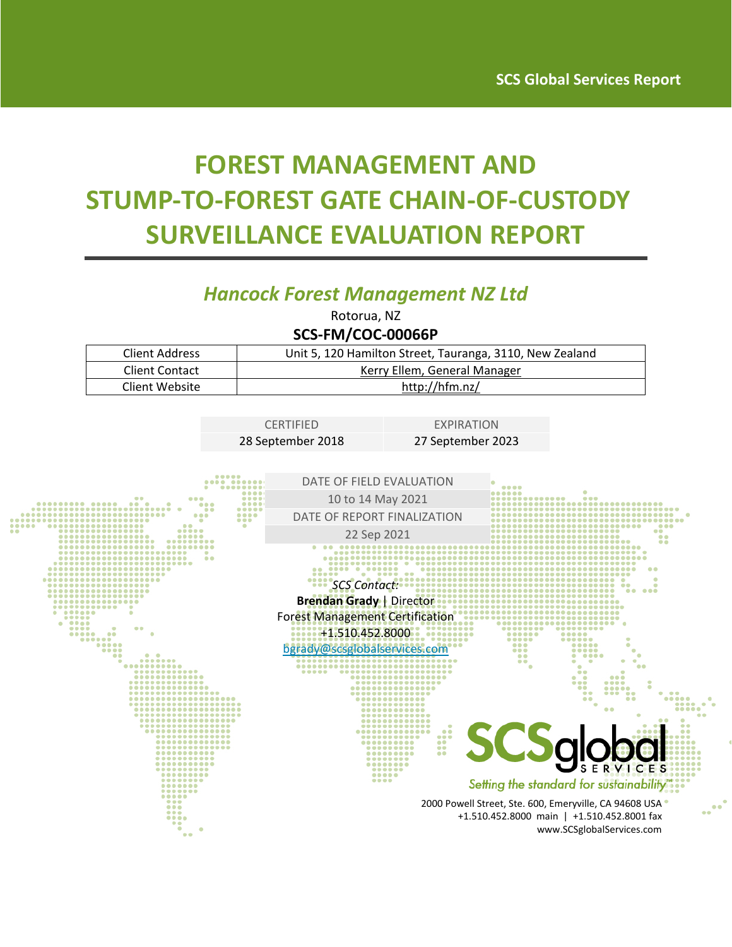....

# **FOREST MANAGEMENT AND STUMP-TO-FOREST GATE CHAIN-OF-CUSTODY SURVEILLANCE EVALUATION REPORT**

# *Hancock Forest Management NZ Ltd*

Rotorua, NZ

**SCS-FM/COC-00066P**

|                                                                                                                                                                                                                                  | <b>Client Address</b>                                                                                                                                                                                                                                                                                                                                                                              | Unit 5, 120 Hamilton Street, Tauranga, 3110, New Zealand                                                                                                                                                                                                                                                                                                                                                                      |                                                                     |                                                                                                                                                                                                                                                                                                                                                                                                                                                                                                                                                                                                                                                                                                                                                                                                                                                                                                                                                                      |  |
|----------------------------------------------------------------------------------------------------------------------------------------------------------------------------------------------------------------------------------|----------------------------------------------------------------------------------------------------------------------------------------------------------------------------------------------------------------------------------------------------------------------------------------------------------------------------------------------------------------------------------------------------|-------------------------------------------------------------------------------------------------------------------------------------------------------------------------------------------------------------------------------------------------------------------------------------------------------------------------------------------------------------------------------------------------------------------------------|---------------------------------------------------------------------|----------------------------------------------------------------------------------------------------------------------------------------------------------------------------------------------------------------------------------------------------------------------------------------------------------------------------------------------------------------------------------------------------------------------------------------------------------------------------------------------------------------------------------------------------------------------------------------------------------------------------------------------------------------------------------------------------------------------------------------------------------------------------------------------------------------------------------------------------------------------------------------------------------------------------------------------------------------------|--|
|                                                                                                                                                                                                                                  | <b>Client Contact</b>                                                                                                                                                                                                                                                                                                                                                                              | Kerry Ellem, General Manager<br>http://hfm.nz/                                                                                                                                                                                                                                                                                                                                                                                |                                                                     |                                                                                                                                                                                                                                                                                                                                                                                                                                                                                                                                                                                                                                                                                                                                                                                                                                                                                                                                                                      |  |
|                                                                                                                                                                                                                                  | <b>Client Website</b>                                                                                                                                                                                                                                                                                                                                                                              |                                                                                                                                                                                                                                                                                                                                                                                                                               |                                                                     |                                                                                                                                                                                                                                                                                                                                                                                                                                                                                                                                                                                                                                                                                                                                                                                                                                                                                                                                                                      |  |
|                                                                                                                                                                                                                                  |                                                                                                                                                                                                                                                                                                                                                                                                    | <b>CERTIFIED</b><br>28 September 2018<br>DATE OF FIELD EVALUATION                                                                                                                                                                                                                                                                                                                                                             | <b>EXPIRATION</b><br>27 September 2023                              |                                                                                                                                                                                                                                                                                                                                                                                                                                                                                                                                                                                                                                                                                                                                                                                                                                                                                                                                                                      |  |
| ,,,,,,,,,,,,,,,,<br>$\bullet$<br>.<br><br>$\bullet\bullet\bullet\bullet$<br>$\bullet\bullet\bullet\bullet$<br>$\begin{array}{ccccccccccccccccc} \bullet & \bullet & \bullet & \bullet & \bullet & \bullet & \bullet \end{array}$ | $\bullet\bullet\bullet$<br>$\bullet$<br>$\bullet\bullet\bullet$<br><br>$\bullet$<br>$00000000000$<br>$\bullet\bullet\bullet$<br>0 0 0 0 0<br>.<br><br><br><br><br><br>$\bullet$<br><br><br>.<br>.<br>.<br>$\bullet\bullet$<br><br><br>$0 0 0 0 0 0 0 0$<br><br>.<br>.<br>.<br><br>.<br>.<br>.<br>.<br>.<br>.<br><br>.<br>.<br>.<br>.<br>.<br>00000000<br>.<br><br>.<br><br>$\bullet\bullet\bullet$ | 0.0.0.0<br>10 to 14 May 2021<br>0.0.0.0.1<br>$\bullet\bullet\bullet\bullet\bullet$<br><br>DATE OF REPORT FINALIZATION<br>$\begin{array}{cccccccccccccc} \bullet & \bullet & \bullet & \bullet & \bullet \end{array}$<br>$\bullet\bullet\bullet$<br>22 Sep 2021<br><br>00000<br>SCS Contact:<br><b>Brendan Grady   Director</b><br><b>Forest Management Certification</b><br>$+1.510.452.8000$<br>bgrady@scsglobalservices.com | <br><br><br>.<br><br>.<br><br>Ë<br>.<br>.<br>.<br>.<br><br><br><br> | $\begin{smallmatrix} \bullet & \bullet & \bullet & \bullet \end{smallmatrix}$<br>0.00000<br>$\bullet\bullet\bullet$<br><br>$\bullet\bullet\bullet$<br>$\bullet$<br>$\bullet$<br>$\bullet$<br><br>$\bullet$<br>$\bullet$<br>$\bullet$<br>$\bullet\bullet\quad \bullet\bullet\bullet$<br><br>$0 0 0 0 0 0 0 0$<br>$0 0 0 0 0 0 0 0 0 0$<br>$0 0 0 0 0 0$<br>$\begin{array}{ccccccccccccccccc} \bullet & \bullet & \bullet & \bullet & \bullet & \bullet & \bullet \end{array}$<br>$0000000$<br><br>$\bullet\bullet\bullet$<br>$\bullet\bullet\bullet$<br>$\begin{array}{cccccccccccccc} \bullet & \bullet & \bullet & \bullet & \bullet & \bullet \end{array}$<br>$\bullet$<br>$\bullet\bullet\bullet\bullet$<br>$\bullet$<br>$^{\circ}$<br>$\bullet$ $\bullet$ $\bullet$<br>000<br>00<br>00000<br>$\bullet$<br>$\bullet\bullet\bullet$<br>$\bullet$<br>$\bullet$<br>Setting the standard for sustainability<br>2000 Powell Street, Ste. 600, Emeryville, CA 94608 USA |  |
|                                                                                                                                                                                                                                  | $\bullet\bullet\bullet$<br>$\bullet\bullet\bullet$<br>$\bullet\bullet\bullet\bullet$<br>$\bullet$<br>$\bullet$                                                                                                                                                                                                                                                                                     |                                                                                                                                                                                                                                                                                                                                                                                                                               |                                                                     | $\bullet$<br>+1.510.452.8000 main   +1.510.452.8001 fax<br>www.SCSglobalServices.com                                                                                                                                                                                                                                                                                                                                                                                                                                                                                                                                                                                                                                                                                                                                                                                                                                                                                 |  |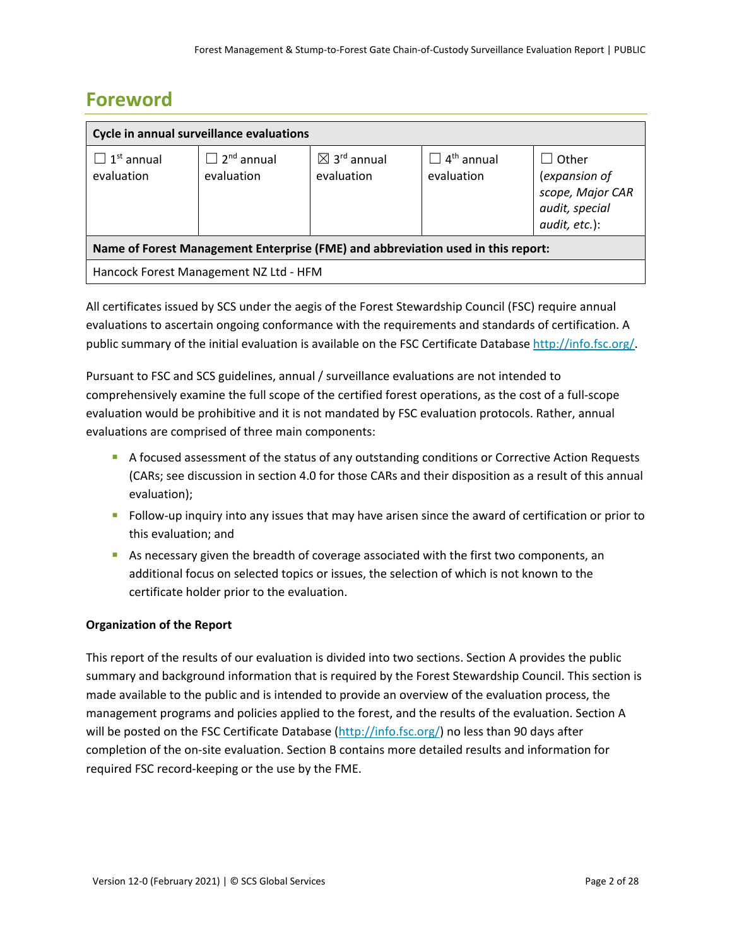# **Foreword**

| Cycle in annual surveillance evaluations                                         |                                             |                                                  |                                             |                                                                                                           |  |  |
|----------------------------------------------------------------------------------|---------------------------------------------|--------------------------------------------------|---------------------------------------------|-----------------------------------------------------------------------------------------------------------|--|--|
| $\Box$ 1 <sup>st</sup> annual<br>evaluation                                      | $\Box$ 2 <sup>nd</sup> annual<br>evaluation | $\boxtimes$ 3 <sup>rd</sup> annual<br>evaluation | $\Box$ 4 <sup>th</sup> annual<br>evaluation | Other<br>$\overline{\phantom{a}}$<br>(expansion of<br>scope, Major CAR<br>audit, special<br>audit, etc.): |  |  |
| Name of Forest Management Enterprise (FME) and abbreviation used in this report: |                                             |                                                  |                                             |                                                                                                           |  |  |
| Hancock Forest Management NZ Ltd - HFM                                           |                                             |                                                  |                                             |                                                                                                           |  |  |

All certificates issued by SCS under the aegis of the Forest Stewardship Council (FSC) require annual evaluations to ascertain ongoing conformance with the requirements and standards of certification. A public summary of the initial evaluation is available on the FSC Certificate Database [http://info.fsc.org/.](http://info.fsc.org/)

Pursuant to FSC and SCS guidelines, annual / surveillance evaluations are not intended to comprehensively examine the full scope of the certified forest operations, as the cost of a full-scope evaluation would be prohibitive and it is not mandated by FSC evaluation protocols. Rather, annual evaluations are comprised of three main components:

- A focused assessment of the status of any outstanding conditions or Corrective Action Requests (CARs; see discussion in section 4.0 for those CARs and their disposition as a result of this annual evaluation);
- Follow-up inquiry into any issues that may have arisen since the award of certification or prior to this evaluation; and
- As necessary given the breadth of coverage associated with the first two components, an additional focus on selected topics or issues, the selection of which is not known to the certificate holder prior to the evaluation.

#### **Organization of the Report**

This report of the results of our evaluation is divided into two sections. Section A provides the public summary and background information that is required by the Forest Stewardship Council. This section is made available to the public and is intended to provide an overview of the evaluation process, the management programs and policies applied to the forest, and the results of the evaluation. Section A will be posted on the FSC Certificate Database [\(http://info.fsc.org/\)](http://info.fsc.org/) no less than 90 days after completion of the on-site evaluation. Section B contains more detailed results and information for required FSC record-keeping or the use by the FME.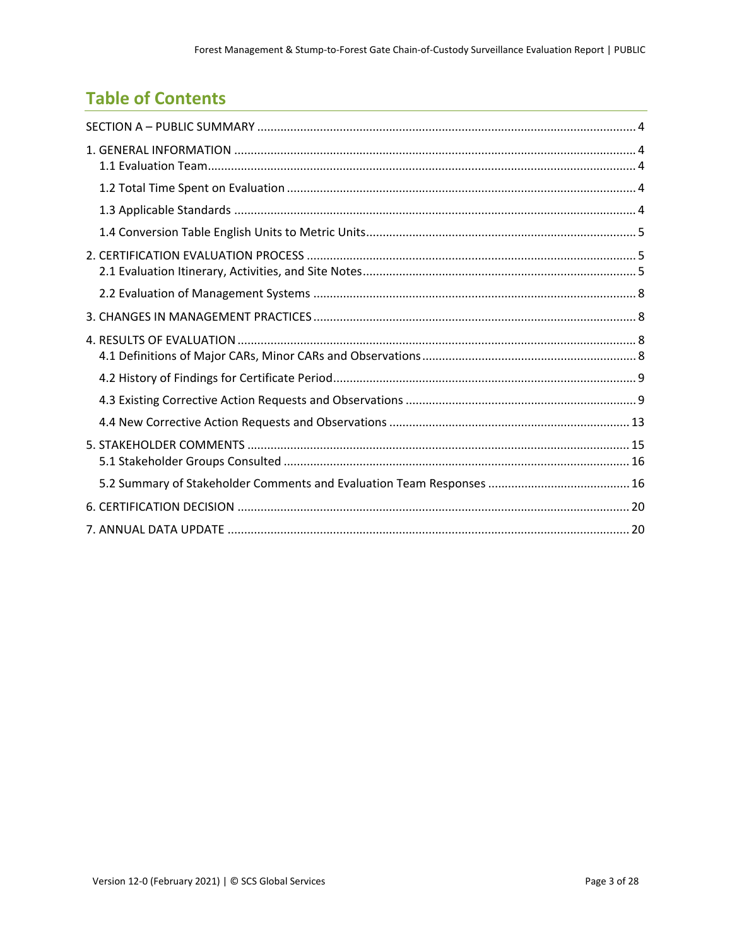# **Table of Contents**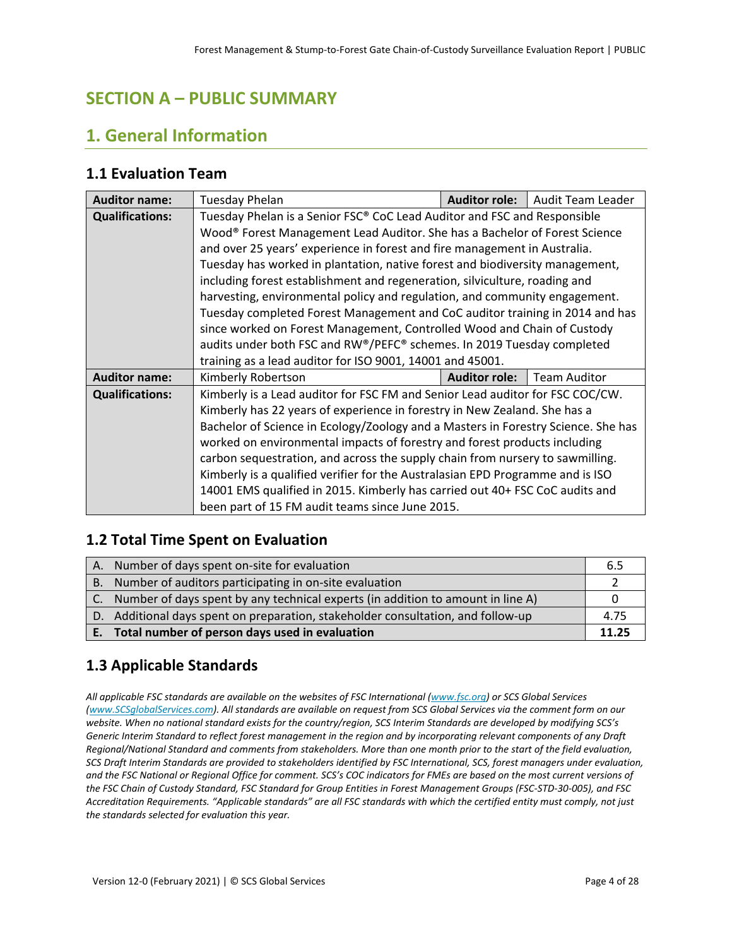# <span id="page-3-0"></span>**SECTION A – PUBLIC SUMMARY**

## <span id="page-3-1"></span>**1. General Information**

#### <span id="page-3-2"></span>**1.1 Evaluation Team**

| <b>Auditor name:</b>   | <b>Tuesday Phelan</b>                                                             | <b>Auditor role:</b> | Audit Team Leader |  |  |
|------------------------|-----------------------------------------------------------------------------------|----------------------|-------------------|--|--|
| <b>Qualifications:</b> | Tuesday Phelan is a Senior FSC® CoC Lead Auditor and FSC and Responsible          |                      |                   |  |  |
|                        | Wood® Forest Management Lead Auditor. She has a Bachelor of Forest Science        |                      |                   |  |  |
|                        | and over 25 years' experience in forest and fire management in Australia.         |                      |                   |  |  |
|                        | Tuesday has worked in plantation, native forest and biodiversity management,      |                      |                   |  |  |
|                        | including forest establishment and regeneration, silviculture, roading and        |                      |                   |  |  |
|                        | harvesting, environmental policy and regulation, and community engagement.        |                      |                   |  |  |
|                        | Tuesday completed Forest Management and CoC auditor training in 2014 and has      |                      |                   |  |  |
|                        | since worked on Forest Management, Controlled Wood and Chain of Custody           |                      |                   |  |  |
|                        | audits under both FSC and RW®/PEFC® schemes. In 2019 Tuesday completed            |                      |                   |  |  |
|                        | training as a lead auditor for ISO 9001, 14001 and 45001.                         |                      |                   |  |  |
| <b>Auditor name:</b>   | Kimberly Robertson<br><b>Auditor role:</b><br><b>Team Auditor</b>                 |                      |                   |  |  |
| <b>Qualifications:</b> | Kimberly is a Lead auditor for FSC FM and Senior Lead auditor for FSC COC/CW.     |                      |                   |  |  |
|                        | Kimberly has 22 years of experience in forestry in New Zealand. She has a         |                      |                   |  |  |
|                        | Bachelor of Science in Ecology/Zoology and a Masters in Forestry Science. She has |                      |                   |  |  |
|                        | worked on environmental impacts of forestry and forest products including         |                      |                   |  |  |
|                        | carbon sequestration, and across the supply chain from nursery to sawmilling.     |                      |                   |  |  |
|                        | Kimberly is a qualified verifier for the Australasian EPD Programme and is ISO    |                      |                   |  |  |
|                        | 14001 EMS qualified in 2015. Kimberly has carried out 40+ FSC CoC audits and      |                      |                   |  |  |
|                        | been part of 15 FM audit teams since June 2015.                                   |                      |                   |  |  |

## <span id="page-3-3"></span>**1.2 Total Time Spent on Evaluation**

| A. | Number of days spent on-site for evaluation                                        | 6.5   |
|----|------------------------------------------------------------------------------------|-------|
| B. | Number of auditors participating in on-site evaluation                             |       |
|    | C. Number of days spent by any technical experts (in addition to amount in line A) |       |
|    | D. Additional days spent on preparation, stakeholder consultation, and follow-up   | 4.75  |
|    | E. Total number of person days used in evaluation                                  | 11.25 |

## <span id="page-3-4"></span>**1.3 Applicable Standards**

*All applicable FSC standards are available on the websites of FSC International [\(www.fsc.org\)](http://www.fsc.org/) or SCS Global Services [\(www.SCSglobalServices.com\)](http://www.scsglobalservices.com/). All standards are available on request from SCS Global Services via the comment form on our website. When no national standard exists for the country/region, SCS Interim Standards are developed by modifying SCS's Generic Interim Standard to reflect forest management in the region and by incorporating relevant components of any Draft Regional/National Standard and comments from stakeholders. More than one month prior to the start of the field evaluation, SCS Draft Interim Standards are provided to stakeholders identified by FSC International, SCS, forest managers under evaluation, and the FSC National or Regional Office for comment. SCS's COC indicators for FMEs are based on the most current versions of the FSC Chain of Custody Standard, FSC Standard for Group Entities in Forest Management Groups (FSC-STD-30-005), and FSC Accreditation Requirements. "Applicable standards" are all FSC standards with which the certified entity must comply, not just the standards selected for evaluation this year.*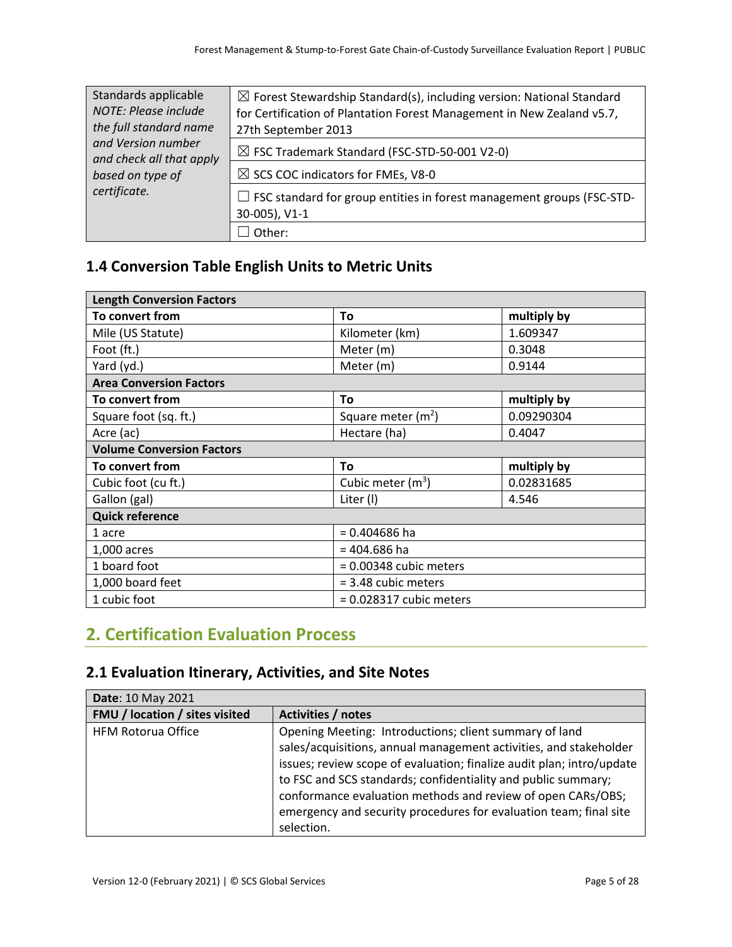| Standards applicable                                  | $\boxtimes$ Forest Stewardship Standard(s), including version: National Standard              |
|-------------------------------------------------------|-----------------------------------------------------------------------------------------------|
| <b>NOTE: Please include</b><br>the full standard name | for Certification of Plantation Forest Management in New Zealand v5.7,<br>27th September 2013 |
| and Version number                                    | $\boxtimes$ FSC Trademark Standard (FSC-STD-50-001 V2-0)                                      |
| and check all that apply<br>based on type of          | $\boxtimes$ SCS COC indicators for FMEs, V8-0                                                 |
| certificate.                                          | $\Box$ FSC standard for group entities in forest management groups (FSC-STD-<br>30-005), V1-1 |
|                                                       | ∫ Other:                                                                                      |

## <span id="page-4-0"></span>**1.4 Conversion Table English Units to Metric Units**

| <b>Length Conversion Factors</b>          |                      |             |  |  |  |
|-------------------------------------------|----------------------|-------------|--|--|--|
| To convert from                           | To                   | multiply by |  |  |  |
| Mile (US Statute)                         | Kilometer (km)       | 1.609347    |  |  |  |
| Foot (ft.)                                | Meter (m)            | 0.3048      |  |  |  |
| Yard (yd.)                                | Meter (m)            | 0.9144      |  |  |  |
| <b>Area Conversion Factors</b>            |                      |             |  |  |  |
| To convert from                           | To                   | multiply by |  |  |  |
| Square foot (sq. ft.)                     | Square meter $(m^2)$ | 0.09290304  |  |  |  |
| Acre (ac)                                 | Hectare (ha)         | 0.4047      |  |  |  |
| <b>Volume Conversion Factors</b>          |                      |             |  |  |  |
| To convert from                           | To                   | multiply by |  |  |  |
| Cubic foot (cu ft.)                       | Cubic meter $(m^3)$  | 0.02831685  |  |  |  |
| Gallon (gal)                              | Liter (I)            | 4.546       |  |  |  |
| <b>Quick reference</b>                    |                      |             |  |  |  |
| 1 acre                                    | $= 0.404686$ ha      |             |  |  |  |
| $= 404.686$ ha<br>1,000 acres             |                      |             |  |  |  |
| 1 board foot<br>$= 0.00348$ cubic meters  |                      |             |  |  |  |
| 1,000 board feet                          | = 3.48 cubic meters  |             |  |  |  |
| 1 cubic foot<br>$= 0.028317$ cubic meters |                      |             |  |  |  |

# <span id="page-4-1"></span>**2. Certification Evaluation Process**

## <span id="page-4-2"></span>**2.1 Evaluation Itinerary, Activities, and Site Notes**

| Date: 10 May 2021              |                                                                       |  |  |  |
|--------------------------------|-----------------------------------------------------------------------|--|--|--|
| FMU / location / sites visited | Activities / notes                                                    |  |  |  |
| <b>HFM Rotorua Office</b>      | Opening Meeting: Introductions; client summary of land                |  |  |  |
|                                | sales/acquisitions, annual management activities, and stakeholder     |  |  |  |
|                                | issues; review scope of evaluation; finalize audit plan; intro/update |  |  |  |
|                                | to FSC and SCS standards; confidentiality and public summary;         |  |  |  |
|                                | conformance evaluation methods and review of open CARs/OBS;           |  |  |  |
|                                | emergency and security procedures for evaluation team; final site     |  |  |  |
|                                | selection.                                                            |  |  |  |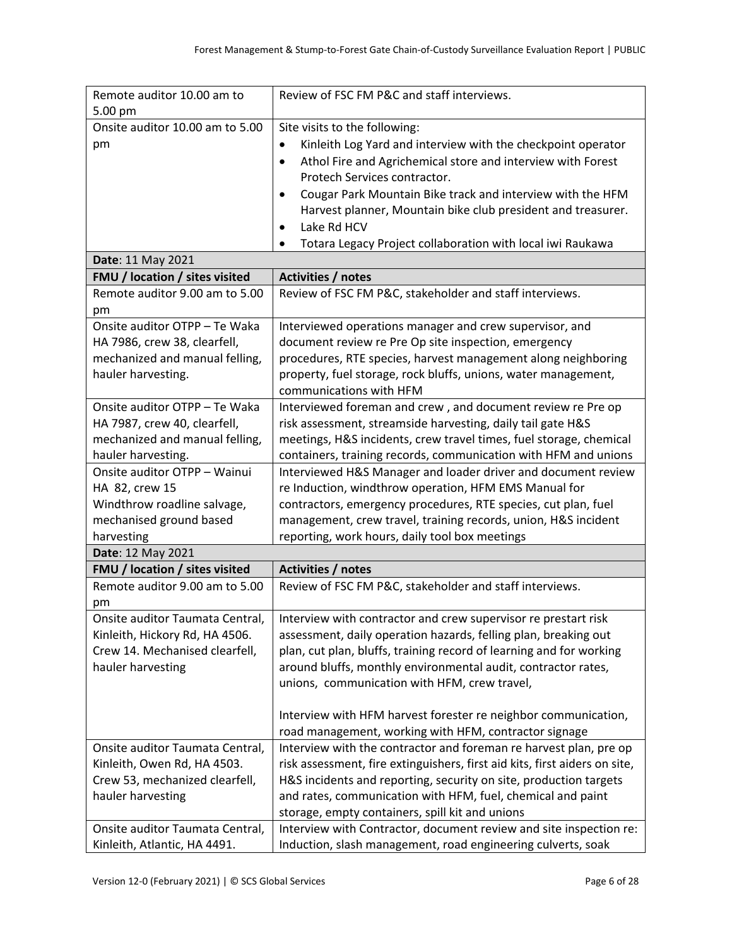| Remote auditor 10.00 am to      | Review of FSC FM P&C and staff interviews.                                 |
|---------------------------------|----------------------------------------------------------------------------|
| 5.00 pm                         |                                                                            |
| Onsite auditor 10.00 am to 5.00 | Site visits to the following:                                              |
| pm                              | Kinleith Log Yard and interview with the checkpoint operator<br>٠          |
|                                 | Athol Fire and Agrichemical store and interview with Forest<br>٠           |
|                                 | Protech Services contractor.                                               |
|                                 | Cougar Park Mountain Bike track and interview with the HFM<br>٠            |
|                                 | Harvest planner, Mountain bike club president and treasurer.               |
|                                 | Lake Rd HCV<br>$\bullet$                                                   |
|                                 | Totara Legacy Project collaboration with local iwi Raukawa                 |
| Date: 11 May 2021               |                                                                            |
| FMU / location / sites visited  | Activities / notes                                                         |
| Remote auditor 9.00 am to 5.00  | Review of FSC FM P&C, stakeholder and staff interviews.                    |
| pm                              |                                                                            |
| Onsite auditor OTPP - Te Waka   | Interviewed operations manager and crew supervisor, and                    |
| HA 7986, crew 38, clearfell,    | document review re Pre Op site inspection, emergency                       |
| mechanized and manual felling,  | procedures, RTE species, harvest management along neighboring              |
| hauler harvesting.              | property, fuel storage, rock bluffs, unions, water management,             |
|                                 | communications with HFM                                                    |
| Onsite auditor OTPP - Te Waka   | Interviewed foreman and crew, and document review re Pre op                |
| HA 7987, crew 40, clearfell,    | risk assessment, streamside harvesting, daily tail gate H&S                |
| mechanized and manual felling,  | meetings, H&S incidents, crew travel times, fuel storage, chemical         |
| hauler harvesting.              | containers, training records, communication with HFM and unions            |
| Onsite auditor OTPP - Wainui    | Interviewed H&S Manager and loader driver and document review              |
| HA 82, crew 15                  | re Induction, windthrow operation, HFM EMS Manual for                      |
| Windthrow roadline salvage,     | contractors, emergency procedures, RTE species, cut plan, fuel             |
| mechanised ground based         | management, crew travel, training records, union, H&S incident             |
| harvesting                      | reporting, work hours, daily tool box meetings                             |
| Date: 12 May 2021               |                                                                            |
| FMU / location / sites visited  | <b>Activities / notes</b>                                                  |
| Remote auditor 9.00 am to 5.00  | Review of FSC FM P&C, stakeholder and staff interviews.                    |
| pm                              |                                                                            |
| Onsite auditor Taumata Central, | Interview with contractor and crew supervisor re prestart risk             |
| Kinleith, Hickory Rd, HA 4506.  | assessment, daily operation hazards, felling plan, breaking out            |
| Crew 14. Mechanised clearfell,  | plan, cut plan, bluffs, training record of learning and for working        |
| hauler harvesting               | around bluffs, monthly environmental audit, contractor rates,              |
|                                 | unions, communication with HFM, crew travel,                               |
|                                 |                                                                            |
|                                 | Interview with HFM harvest forester re neighbor communication,             |
|                                 | road management, working with HFM, contractor signage                      |
| Onsite auditor Taumata Central, | Interview with the contractor and foreman re harvest plan, pre op          |
| Kinleith, Owen Rd, HA 4503.     | risk assessment, fire extinguishers, first aid kits, first aiders on site, |
| Crew 53, mechanized clearfell,  | H&S incidents and reporting, security on site, production targets          |
| hauler harvesting               | and rates, communication with HFM, fuel, chemical and paint                |
|                                 | storage, empty containers, spill kit and unions                            |
| Onsite auditor Taumata Central, | Interview with Contractor, document review and site inspection re:         |
| Kinleith, Atlantic, HA 4491.    | Induction, slash management, road engineering culverts, soak               |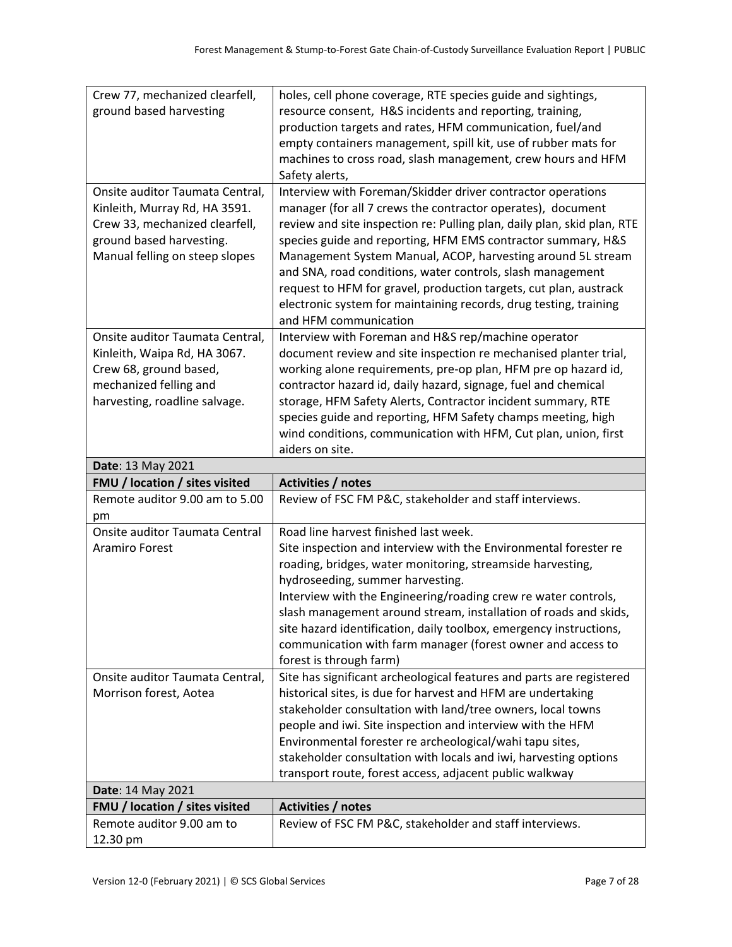| Crew 77, mechanized clearfell,  | holes, cell phone coverage, RTE species guide and sightings,                                                                 |
|---------------------------------|------------------------------------------------------------------------------------------------------------------------------|
| ground based harvesting         | resource consent, H&S incidents and reporting, training,                                                                     |
|                                 | production targets and rates, HFM communication, fuel/and                                                                    |
|                                 | empty containers management, spill kit, use of rubber mats for                                                               |
|                                 | machines to cross road, slash management, crew hours and HFM                                                                 |
|                                 | Safety alerts,                                                                                                               |
| Onsite auditor Taumata Central, | Interview with Foreman/Skidder driver contractor operations                                                                  |
| Kinleith, Murray Rd, HA 3591.   | manager (for all 7 crews the contractor operates), document                                                                  |
| Crew 33, mechanized clearfell,  | review and site inspection re: Pulling plan, daily plan, skid plan, RTE                                                      |
| ground based harvesting.        | species guide and reporting, HFM EMS contractor summary, H&S                                                                 |
| Manual felling on steep slopes  | Management System Manual, ACOP, harvesting around 5L stream                                                                  |
|                                 | and SNA, road conditions, water controls, slash management                                                                   |
|                                 | request to HFM for gravel, production targets, cut plan, austrack                                                            |
|                                 | electronic system for maintaining records, drug testing, training                                                            |
|                                 | and HFM communication                                                                                                        |
| Onsite auditor Taumata Central, | Interview with Foreman and H&S rep/machine operator                                                                          |
| Kinleith, Waipa Rd, HA 3067.    | document review and site inspection re mechanised planter trial,                                                             |
| Crew 68, ground based,          | working alone requirements, pre-op plan, HFM pre op hazard id,                                                               |
| mechanized felling and          | contractor hazard id, daily hazard, signage, fuel and chemical                                                               |
| harvesting, roadline salvage.   | storage, HFM Safety Alerts, Contractor incident summary, RTE                                                                 |
|                                 | species guide and reporting, HFM Safety champs meeting, high                                                                 |
|                                 | wind conditions, communication with HFM, Cut plan, union, first                                                              |
|                                 | aiders on site.                                                                                                              |
|                                 |                                                                                                                              |
| Date: 13 May 2021               |                                                                                                                              |
| FMU / location / sites visited  | Activities / notes                                                                                                           |
| Remote auditor 9.00 am to 5.00  | Review of FSC FM P&C, stakeholder and staff interviews.                                                                      |
| pm                              |                                                                                                                              |
| Onsite auditor Taumata Central  | Road line harvest finished last week.                                                                                        |
| <b>Aramiro Forest</b>           | Site inspection and interview with the Environmental forester re                                                             |
|                                 | roading, bridges, water monitoring, streamside harvesting,                                                                   |
|                                 | hydroseeding, summer harvesting.                                                                                             |
|                                 | Interview with the Engineering/roading crew re water controls,                                                               |
|                                 | slash management around stream, installation of roads and skids,                                                             |
|                                 | site hazard identification, daily toolbox, emergency instructions,                                                           |
|                                 | communication with farm manager (forest owner and access to                                                                  |
|                                 | forest is through farm)                                                                                                      |
| Onsite auditor Taumata Central, | Site has significant archeological features and parts are registered                                                         |
| Morrison forest, Aotea          | historical sites, is due for harvest and HFM are undertaking                                                                 |
|                                 | stakeholder consultation with land/tree owners, local towns                                                                  |
|                                 | people and iwi. Site inspection and interview with the HFM                                                                   |
|                                 | Environmental forester re archeological/wahi tapu sites,<br>stakeholder consultation with locals and iwi, harvesting options |
|                                 | transport route, forest access, adjacent public walkway                                                                      |
| Date: 14 May 2021               |                                                                                                                              |
| FMU / location / sites visited  | Activities / notes                                                                                                           |
| Remote auditor 9.00 am to       | Review of FSC FM P&C, stakeholder and staff interviews.                                                                      |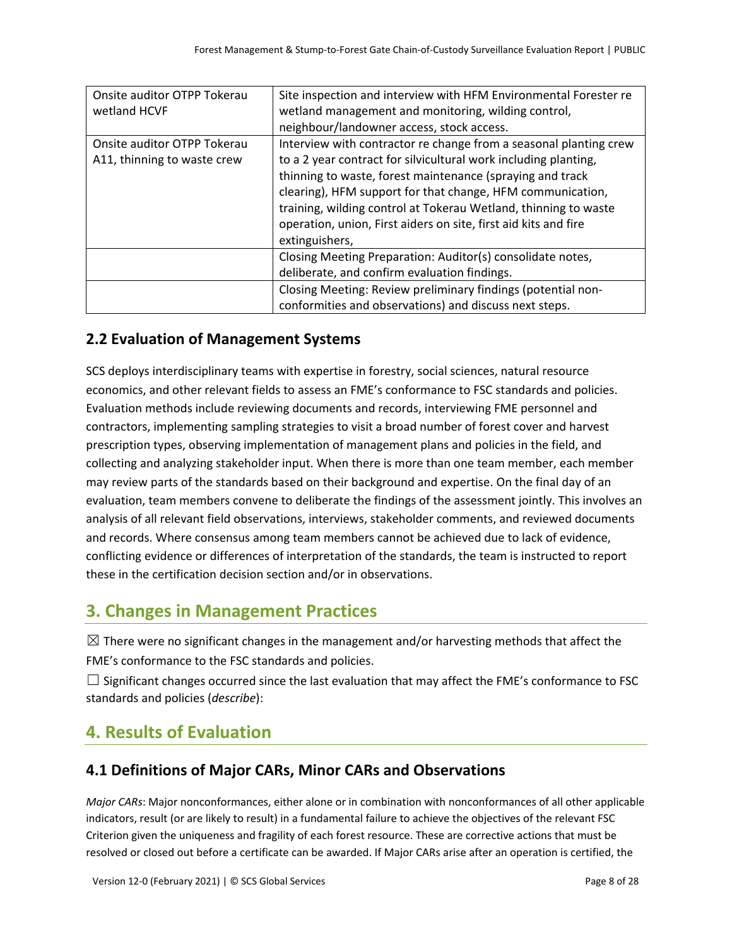| Onsite auditor OTPP Tokerau | Site inspection and interview with HFM Environmental Forester re  |
|-----------------------------|-------------------------------------------------------------------|
| wetland HCVF                | wetland management and monitoring, wilding control,               |
|                             | neighbour/landowner access, stock access.                         |
| Onsite auditor OTPP Tokerau | Interview with contractor re change from a seasonal planting crew |
| A11, thinning to waste crew | to a 2 year contract for silvicultural work including planting,   |
|                             | thinning to waste, forest maintenance (spraying and track         |
|                             | clearing), HFM support for that change, HFM communication,        |
|                             | training, wilding control at Tokerau Wetland, thinning to waste   |
|                             | operation, union, First aiders on site, first aid kits and fire   |
|                             | extinguishers,                                                    |
|                             | Closing Meeting Preparation: Auditor(s) consolidate notes,        |
|                             | deliberate, and confirm evaluation findings.                      |
|                             | Closing Meeting: Review preliminary findings (potential non-      |
|                             | conformities and observations) and discuss next steps.            |

#### <span id="page-7-0"></span>**2.2 Evaluation of Management Systems**

SCS deploys interdisciplinary teams with expertise in forestry, social sciences, natural resource economics, and other relevant fields to assess an FME's conformance to FSC standards and policies. Evaluation methods include reviewing documents and records, interviewing FME personnel and contractors, implementing sampling strategies to visit a broad number of forest cover and harvest prescription types, observing implementation of management plans and policies in the field, and collecting and analyzing stakeholder input. When there is more than one team member, each member may review parts of the standards based on their background and expertise. On the final day of an evaluation, team members convene to deliberate the findings of the assessment jointly. This involves an analysis of all relevant field observations, interviews, stakeholder comments, and reviewed documents and records. Where consensus among team members cannot be achieved due to lack of evidence, conflicting evidence or differences of interpretation of the standards, the team is instructed to report these in the certification decision section and/or in observations.

# <span id="page-7-1"></span>**3. Changes in Management Practices**

 $\boxtimes$  There were no significant changes in the management and/or harvesting methods that affect the FME's conformance to the FSC standards and policies.

 $\square$  Significant changes occurred since the last evaluation that may affect the FME's conformance to FSC standards and policies (*describe*):

# <span id="page-7-2"></span>**4. Results of Evaluation**

#### <span id="page-7-3"></span>**4.1 Definitions of Major CARs, Minor CARs and Observations**

*Major CARs*: Major nonconformances, either alone or in combination with nonconformances of all other applicable indicators, result (or are likely to result) in a fundamental failure to achieve the objectives of the relevant FSC Criterion given the uniqueness and fragility of each forest resource. These are corrective actions that must be resolved or closed out before a certificate can be awarded. If Major CARs arise after an operation is certified, the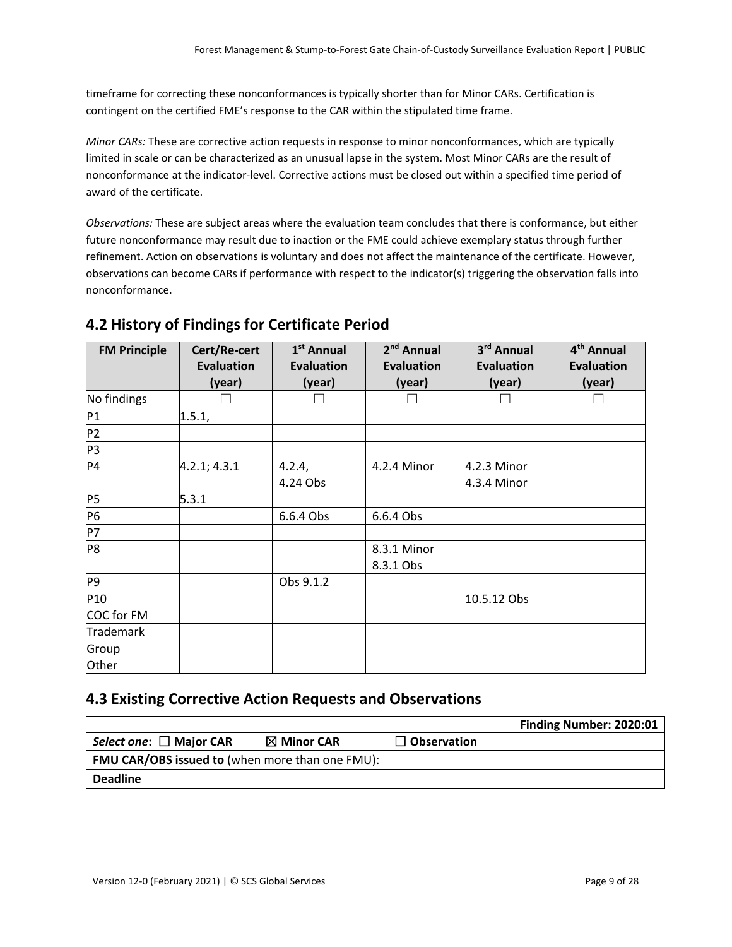timeframe for correcting these nonconformances is typically shorter than for Minor CARs. Certification is contingent on the certified FME's response to the CAR within the stipulated time frame.

*Minor CARs:* These are corrective action requests in response to minor nonconformances, which are typically limited in scale or can be characterized as an unusual lapse in the system. Most Minor CARs are the result of nonconformance at the indicator-level. Corrective actions must be closed out within a specified time period of award of the certificate.

*Observations:* These are subject areas where the evaluation team concludes that there is conformance, but either future nonconformance may result due to inaction or the FME could achieve exemplary status through further refinement. Action on observations is voluntary and does not affect the maintenance of the certificate. However, observations can become CARs if performance with respect to the indicator(s) triggering the observation falls into nonconformance.

| <b>FM Principle</b> | Cert/Re-cert<br><b>Evaluation</b><br>(year) | 1 <sup>st</sup> Annual<br><b>Evaluation</b><br>(year) | 2 <sup>nd</sup> Annual<br><b>Evaluation</b><br>(year) | 3rd Annual<br><b>Evaluation</b><br>(year) | 4 <sup>th</sup> Annual<br><b>Evaluation</b><br>(year) |
|---------------------|---------------------------------------------|-------------------------------------------------------|-------------------------------------------------------|-------------------------------------------|-------------------------------------------------------|
| No findings         |                                             |                                                       |                                                       |                                           |                                                       |
|                     | 1.5.1,                                      |                                                       |                                                       |                                           |                                                       |
| $\frac{P1}{P2}$     |                                             |                                                       |                                                       |                                           |                                                       |
| P3                  |                                             |                                                       |                                                       |                                           |                                                       |
| $\overline{P4}$     | 4.2.1; 4.3.1                                | 4.2.4,                                                | 4.2.4 Minor                                           | 4.2.3 Minor                               |                                                       |
|                     |                                             | 4.24 Obs                                              |                                                       | 4.3.4 Minor                               |                                                       |
| P <sub>5</sub>      | 5.3.1                                       |                                                       |                                                       |                                           |                                                       |
| $\frac{P6}{P7}$     |                                             | 6.6.4 Obs                                             | 6.6.4 Obs                                             |                                           |                                                       |
|                     |                                             |                                                       |                                                       |                                           |                                                       |
| P <sub>8</sub>      |                                             |                                                       | 8.3.1 Minor<br>8.3.1 Obs                              |                                           |                                                       |
| P <sub>9</sub>      |                                             | Obs 9.1.2                                             |                                                       |                                           |                                                       |
| P <sub>10</sub>     |                                             |                                                       |                                                       | 10.5.12 Obs                               |                                                       |
| COC for FM          |                                             |                                                       |                                                       |                                           |                                                       |
| <b>Trademark</b>    |                                             |                                                       |                                                       |                                           |                                                       |
| Group               |                                             |                                                       |                                                       |                                           |                                                       |
| Other               |                                             |                                                       |                                                       |                                           |                                                       |

## <span id="page-8-0"></span>**4.2 History of Findings for Certificate Period**

#### <span id="page-8-1"></span>**4.3 Existing Corrective Action Requests and Observations**

|                                                 |                       |                    | Finding Number: 2020:01 |
|-------------------------------------------------|-----------------------|--------------------|-------------------------|
| Select one: $\Box$ Major CAR                    | $\boxtimes$ Minor CAR | $\Box$ Observation |                         |
| FMU CAR/OBS issued to (when more than one FMU): |                       |                    |                         |
| <b>Deadline</b>                                 |                       |                    |                         |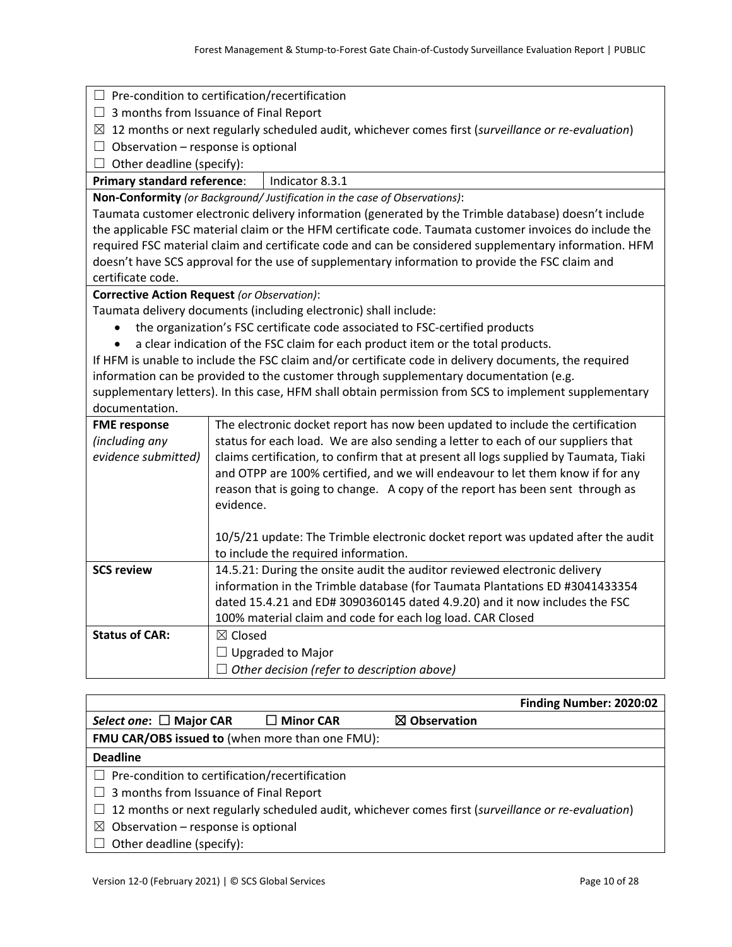| Select one: $\Box$ Major CAR                          | $\Box$ Minor CAR | $\boxtimes$ Observation                                                                                   |
|-------------------------------------------------------|------------------|-----------------------------------------------------------------------------------------------------------|
| FMU CAR/OBS issued to (when more than one FMU):       |                  |                                                                                                           |
| <b>Deadline</b>                                       |                  |                                                                                                           |
| $\Box$ Pre-condition to certification/recertification |                  |                                                                                                           |
| $\Box$ 3 months from Issuance of Final Report         |                  |                                                                                                           |
|                                                       |                  | $\Box$ 12 months or next regularly scheduled audit, whichever comes first (surveillance or re-evaluation) |
| $\boxtimes$ Observation – response is optional        |                  |                                                                                                           |
| $\Box$ Other deadline (specify):                      |                  |                                                                                                           |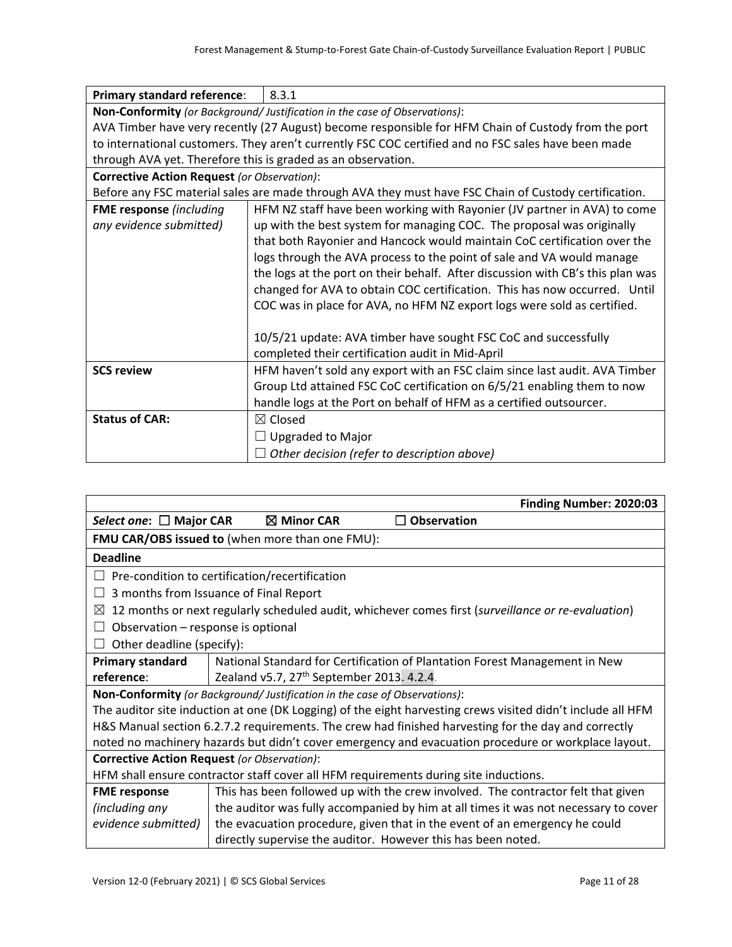| <b>Primary standard reference:</b>                                         | 8.3.1                                                                                                                                                                                                                                                                                                                                                                                                                                                                                                                                                                                                                                                                   |  |
|----------------------------------------------------------------------------|-------------------------------------------------------------------------------------------------------------------------------------------------------------------------------------------------------------------------------------------------------------------------------------------------------------------------------------------------------------------------------------------------------------------------------------------------------------------------------------------------------------------------------------------------------------------------------------------------------------------------------------------------------------------------|--|
| Non-Conformity (or Background/ Justification in the case of Observations): |                                                                                                                                                                                                                                                                                                                                                                                                                                                                                                                                                                                                                                                                         |  |
|                                                                            | AVA Timber have very recently (27 August) become responsible for HFM Chain of Custody from the port                                                                                                                                                                                                                                                                                                                                                                                                                                                                                                                                                                     |  |
|                                                                            | to international customers. They aren't currently FSC COC certified and no FSC sales have been made                                                                                                                                                                                                                                                                                                                                                                                                                                                                                                                                                                     |  |
| through AVA yet. Therefore this is graded as an observation.               |                                                                                                                                                                                                                                                                                                                                                                                                                                                                                                                                                                                                                                                                         |  |
| <b>Corrective Action Request (or Observation):</b>                         |                                                                                                                                                                                                                                                                                                                                                                                                                                                                                                                                                                                                                                                                         |  |
|                                                                            | Before any FSC material sales are made through AVA they must have FSC Chain of Custody certification.                                                                                                                                                                                                                                                                                                                                                                                                                                                                                                                                                                   |  |
| <b>FME response (including</b><br>any evidence submitted)                  | HFM NZ staff have been working with Rayonier (JV partner in AVA) to come<br>up with the best system for managing COC. The proposal was originally<br>that both Rayonier and Hancock would maintain CoC certification over the<br>logs through the AVA process to the point of sale and VA would manage<br>the logs at the port on their behalf. After discussion with CB's this plan was<br>changed for AVA to obtain COC certification. This has now occurred. Until<br>COC was in place for AVA, no HFM NZ export logs were sold as certified.<br>10/5/21 update: AVA timber have sought FSC CoC and successfully<br>completed their certification audit in Mid-April |  |
| <b>SCS review</b>                                                          | HFM haven't sold any export with an FSC claim since last audit. AVA Timber<br>Group Ltd attained FSC CoC certification on 6/5/21 enabling them to now                                                                                                                                                                                                                                                                                                                                                                                                                                                                                                                   |  |
|                                                                            | handle logs at the Port on behalf of HFM as a certified outsourcer.                                                                                                                                                                                                                                                                                                                                                                                                                                                                                                                                                                                                     |  |
| <b>Status of CAR:</b>                                                      | $\boxtimes$ Closed                                                                                                                                                                                                                                                                                                                                                                                                                                                                                                                                                                                                                                                      |  |
|                                                                            | $\Box$ Upgraded to Major                                                                                                                                                                                                                                                                                                                                                                                                                                                                                                                                                                                                                                                |  |
|                                                                            | $\Box$ Other decision (refer to description above)                                                                                                                                                                                                                                                                                                                                                                                                                                                                                                                                                                                                                      |  |

|                                                                                                             |                                                       | Finding Number: 2020:03                                                                             |
|-------------------------------------------------------------------------------------------------------------|-------------------------------------------------------|-----------------------------------------------------------------------------------------------------|
| Select one: $\Box$ Major CAR                                                                                | $\boxtimes$ Minor CAR                                 | <b>Observation</b><br>$\overline{\phantom{a}}$                                                      |
|                                                                                                             | FMU CAR/OBS issued to (when more than one FMU):       |                                                                                                     |
| <b>Deadline</b>                                                                                             |                                                       |                                                                                                     |
|                                                                                                             | Pre-condition to certification/recertification        |                                                                                                     |
|                                                                                                             | 3 months from Issuance of Final Report                |                                                                                                     |
| $\bowtie$                                                                                                   |                                                       | 12 months or next regularly scheduled audit, whichever comes first (surveillance or re-evaluation)  |
| Observation - response is optional                                                                          |                                                       |                                                                                                     |
| Other deadline (specify):                                                                                   |                                                       |                                                                                                     |
| Primary standard                                                                                            |                                                       | National Standard for Certification of Plantation Forest Management in New                          |
| reference:                                                                                                  | Zealand v5.7, 27 <sup>th</sup> September 2013. 4.2.4. |                                                                                                     |
| Non-Conformity (or Background/ Justification in the case of Observations):                                  |                                                       |                                                                                                     |
| The auditor site induction at one (DK Logging) of the eight harvesting crews visited didn't include all HFM |                                                       |                                                                                                     |
| H&S Manual section 6.2.7.2 requirements. The crew had finished harvesting for the day and correctly         |                                                       |                                                                                                     |
|                                                                                                             |                                                       | noted no machinery hazards but didn't cover emergency and evacuation procedure or workplace layout. |
| <b>Corrective Action Request (or Observation):</b>                                                          |                                                       |                                                                                                     |
|                                                                                                             |                                                       | HFM shall ensure contractor staff cover all HFM requirements during site inductions.                |
| <b>FME</b> response                                                                                         |                                                       | This has been followed up with the crew involved. The contractor felt that given                    |
| (including any                                                                                              |                                                       | the auditor was fully accompanied by him at all times it was not necessary to cover                 |
| evidence submitted)                                                                                         |                                                       | the evacuation procedure, given that in the event of an emergency he could                          |
|                                                                                                             |                                                       | directly supervise the auditor. However this has been noted.                                        |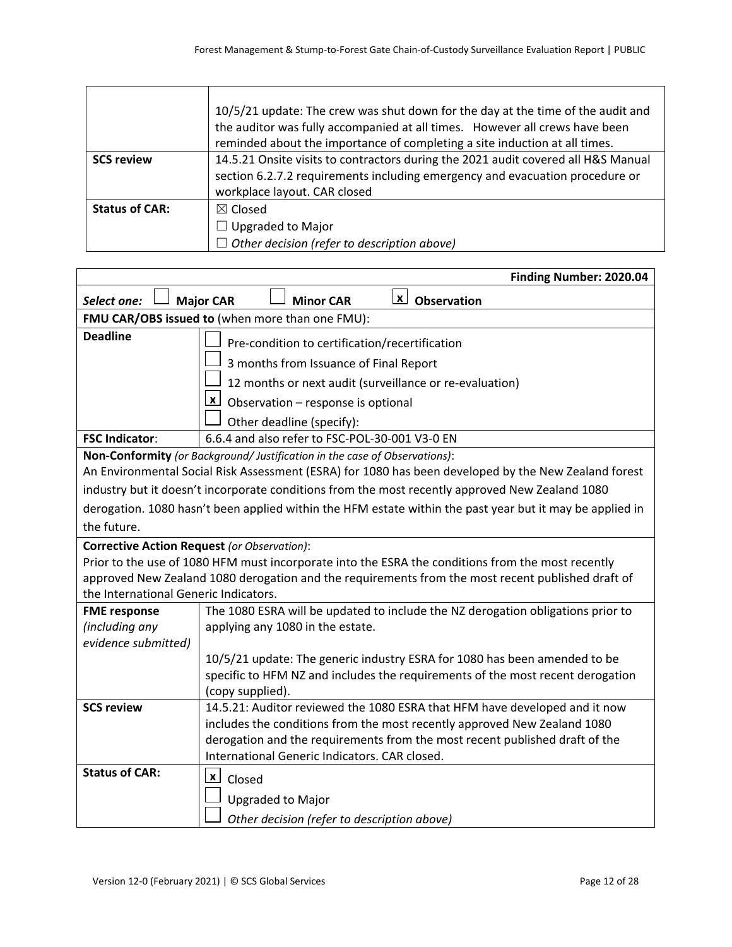|                       | 10/5/21 update: The crew was shut down for the day at the time of the audit and<br>the auditor was fully accompanied at all times. However all crews have been<br>reminded about the importance of completing a site induction at all times. |  |
|-----------------------|----------------------------------------------------------------------------------------------------------------------------------------------------------------------------------------------------------------------------------------------|--|
| <b>SCS review</b>     | 14.5.21 Onsite visits to contractors during the 2021 audit covered all H&S Manual<br>section 6.2.7.2 requirements including emergency and evacuation procedure or                                                                            |  |
|                       | workplace layout. CAR closed                                                                                                                                                                                                                 |  |
| <b>Status of CAR:</b> | $\boxtimes$ Closed                                                                                                                                                                                                                           |  |
|                       | $\Box$ Upgraded to Major                                                                                                                                                                                                                     |  |
|                       | $\Box$ Other decision (refer to description above)                                                                                                                                                                                           |  |

|                                                                                           | Finding Number: 2020.04                                                                                                      |  |
|-------------------------------------------------------------------------------------------|------------------------------------------------------------------------------------------------------------------------------|--|
| $\mathbf{x}$<br><b>Observation</b><br><b>Major CAR</b><br><b>Minor CAR</b><br>Select one: |                                                                                                                              |  |
|                                                                                           | FMU CAR/OBS issued to (when more than one FMU):                                                                              |  |
| <b>Deadline</b>                                                                           | Pre-condition to certification/recertification                                                                               |  |
|                                                                                           | 3 months from Issuance of Final Report                                                                                       |  |
|                                                                                           | 12 months or next audit (surveillance or re-evaluation)                                                                      |  |
|                                                                                           | $\lfloor x \rfloor$ Observation – response is optional                                                                       |  |
|                                                                                           | Other deadline (specify):                                                                                                    |  |
| <b>FSC Indicator:</b>                                                                     | 6.6.4 and also refer to FSC-POL-30-001 V3-0 EN                                                                               |  |
|                                                                                           | Non-Conformity (or Background/ Justification in the case of Observations):                                                   |  |
|                                                                                           | An Environmental Social Risk Assessment (ESRA) for 1080 has been developed by the New Zealand forest                         |  |
|                                                                                           | industry but it doesn't incorporate conditions from the most recently approved New Zealand 1080                              |  |
|                                                                                           | derogation. 1080 hasn't been applied within the HFM estate within the past year but it may be applied in                     |  |
| the future.                                                                               |                                                                                                                              |  |
| <b>Corrective Action Request (or Observation):</b>                                        |                                                                                                                              |  |
|                                                                                           | Prior to the use of 1080 HFM must incorporate into the ESRA the conditions from the most recently                            |  |
|                                                                                           | approved New Zealand 1080 derogation and the requirements from the most recent published draft of                            |  |
| the International Generic Indicators.                                                     |                                                                                                                              |  |
| <b>FME</b> response                                                                       | The 1080 ESRA will be updated to include the NZ derogation obligations prior to                                              |  |
| (including any                                                                            | applying any 1080 in the estate.                                                                                             |  |
| evidence submitted)                                                                       |                                                                                                                              |  |
|                                                                                           | 10/5/21 update: The generic industry ESRA for 1080 has been amended to be                                                    |  |
|                                                                                           | specific to HFM NZ and includes the requirements of the most recent derogation                                               |  |
|                                                                                           | (copy supplied).                                                                                                             |  |
| <b>SCS review</b>                                                                         | 14.5.21: Auditor reviewed the 1080 ESRA that HFM have developed and it now                                                   |  |
|                                                                                           | includes the conditions from the most recently approved New Zealand 1080                                                     |  |
|                                                                                           | derogation and the requirements from the most recent published draft of the<br>International Generic Indicators. CAR closed. |  |
| <b>Status of CAR:</b>                                                                     |                                                                                                                              |  |
|                                                                                           | $\lfloor x \rfloor$ Closed                                                                                                   |  |
|                                                                                           | <b>Upgraded to Major</b>                                                                                                     |  |
|                                                                                           | Other decision (refer to description above)                                                                                  |  |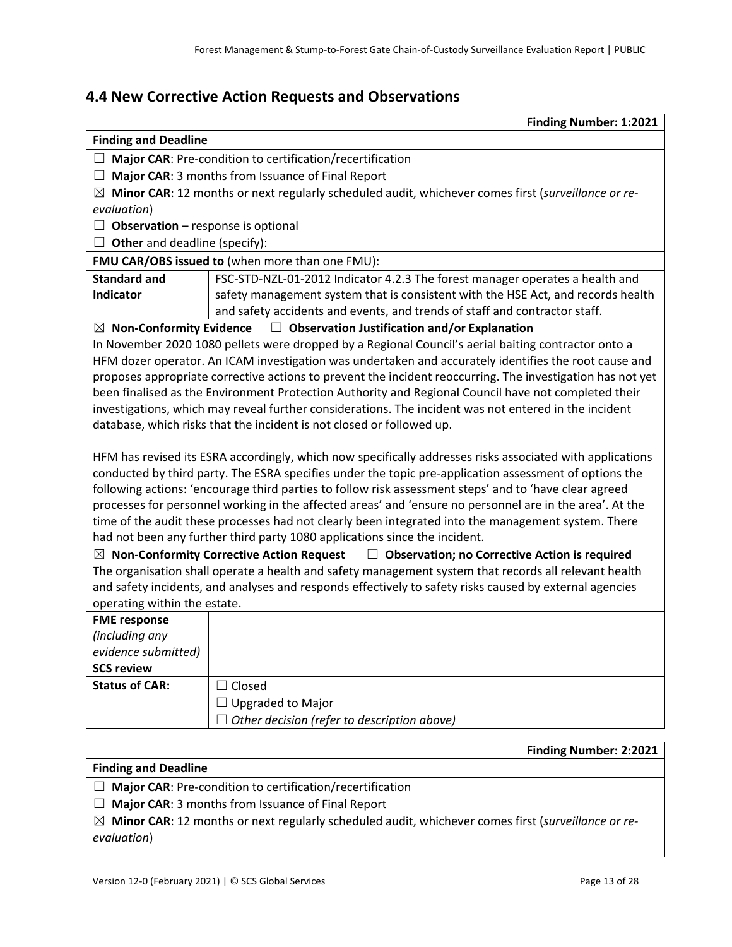## <span id="page-12-0"></span>**4.4 New Corrective Action Requests and Observations**

|                                                                                                           | Finding Number: 1:2021                                                                                     |  |  |
|-----------------------------------------------------------------------------------------------------------|------------------------------------------------------------------------------------------------------------|--|--|
| <b>Finding and Deadline</b>                                                                               |                                                                                                            |  |  |
| Major CAR: Pre-condition to certification/recertification                                                 |                                                                                                            |  |  |
| Major CAR: 3 months from Issuance of Final Report<br>ப                                                    |                                                                                                            |  |  |
| $\boxtimes$                                                                                               | Minor CAR: 12 months or next regularly scheduled audit, whichever comes first (surveillance or re-         |  |  |
| evaluation)                                                                                               |                                                                                                            |  |  |
| $\Box$ Observation – response is optional                                                                 |                                                                                                            |  |  |
| <b>Other</b> and deadline (specify):                                                                      |                                                                                                            |  |  |
|                                                                                                           | FMU CAR/OBS issued to (when more than one FMU):                                                            |  |  |
| <b>Standard and</b>                                                                                       | FSC-STD-NZL-01-2012 Indicator 4.2.3 The forest manager operates a health and                               |  |  |
| Indicator                                                                                                 | safety management system that is consistent with the HSE Act, and records health                           |  |  |
|                                                                                                           | and safety accidents and events, and trends of staff and contractor staff.                                 |  |  |
| $\boxtimes$ Non-Conformity Evidence                                                                       | $\Box$ Observation Justification and/or Explanation                                                        |  |  |
|                                                                                                           | In November 2020 1080 pellets were dropped by a Regional Council's aerial baiting contractor onto a        |  |  |
|                                                                                                           | HFM dozer operator. An ICAM investigation was undertaken and accurately identifies the root cause and      |  |  |
|                                                                                                           | proposes appropriate corrective actions to prevent the incident reoccurring. The investigation has not yet |  |  |
|                                                                                                           | been finalised as the Environment Protection Authority and Regional Council have not completed their       |  |  |
|                                                                                                           | investigations, which may reveal further considerations. The incident was not entered in the incident      |  |  |
|                                                                                                           | database, which risks that the incident is not closed or followed up.                                      |  |  |
|                                                                                                           |                                                                                                            |  |  |
|                                                                                                           | HFM has revised its ESRA accordingly, which now specifically addresses risks associated with applications  |  |  |
|                                                                                                           | conducted by third party. The ESRA specifies under the topic pre-application assessment of options the     |  |  |
|                                                                                                           | following actions: 'encourage third parties to follow risk assessment steps' and to 'have clear agreed     |  |  |
|                                                                                                           | processes for personnel working in the affected areas' and 'ensure no personnel are in the area'. At the   |  |  |
| time of the audit these processes had not clearly been integrated into the management system. There       |                                                                                                            |  |  |
| had not been any further third party 1080 applications since the incident.                                |                                                                                                            |  |  |
| $\boxtimes$ Non-Conformity Corrective Action Request $\Box$ Observation; no Corrective Action is required |                                                                                                            |  |  |
|                                                                                                           | The organisation shall operate a health and safety management system that records all relevant health      |  |  |
| and safety incidents, and analyses and responds effectively to safety risks caused by external agencies   |                                                                                                            |  |  |
| operating within the estate.                                                                              |                                                                                                            |  |  |
| <b>FME response</b>                                                                                       |                                                                                                            |  |  |
| (including any                                                                                            |                                                                                                            |  |  |
| evidence submitted)                                                                                       |                                                                                                            |  |  |
| <b>SCS review</b>                                                                                         |                                                                                                            |  |  |
| <b>Status of CAR:</b>                                                                                     | Closed<br>$\blacksquare$                                                                                   |  |  |
|                                                                                                           | <b>Upgraded to Major</b>                                                                                   |  |  |
|                                                                                                           | Other decision (refer to description above)                                                                |  |  |
|                                                                                                           |                                                                                                            |  |  |
|                                                                                                           | Finding Number: 2:2021                                                                                     |  |  |
| <b>Finding and Deadline</b>                                                                               |                                                                                                            |  |  |

| <b>THINDIA AND DEAMING</b> |                                                                  |  |
|----------------------------|------------------------------------------------------------------|--|
|                            | $\Box$ Major CAR: Pre-condition to certification/recertification |  |
|                            | $\Box$ Major CAR: 3 months from Issuance of Final Report         |  |

☒ **Minor CAR**: 12 months or next regularly scheduled audit, whichever comes first (*surveillance or reevaluation*)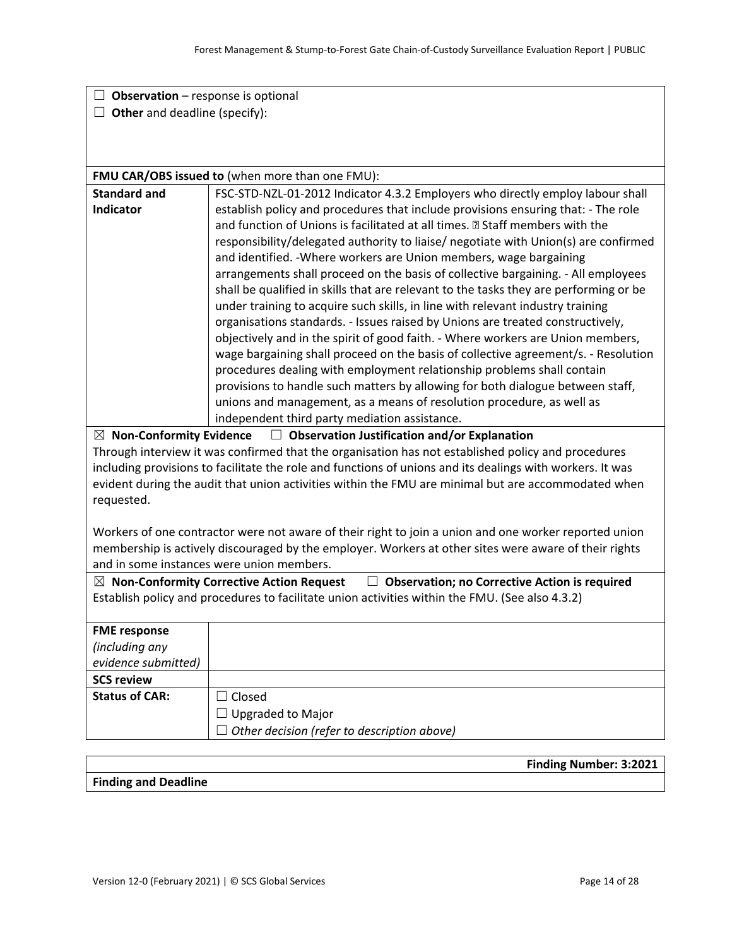|                                                                                                           | <b>Observation</b> – response is optional                                                                                                                         |  |
|-----------------------------------------------------------------------------------------------------------|-------------------------------------------------------------------------------------------------------------------------------------------------------------------|--|
| $\Box$ Other and deadline (specify):                                                                      |                                                                                                                                                                   |  |
|                                                                                                           |                                                                                                                                                                   |  |
|                                                                                                           |                                                                                                                                                                   |  |
|                                                                                                           |                                                                                                                                                                   |  |
|                                                                                                           | FMU CAR/OBS issued to (when more than one FMU):                                                                                                                   |  |
| <b>Standard and</b>                                                                                       | FSC-STD-NZL-01-2012 Indicator 4.3.2 Employers who directly employ labour shall                                                                                    |  |
| Indicator                                                                                                 | establish policy and procedures that include provisions ensuring that: - The role                                                                                 |  |
|                                                                                                           | and function of Unions is facilitated at all times. and Staff members with the                                                                                    |  |
|                                                                                                           | responsibility/delegated authority to liaise/ negotiate with Union(s) are confirmed                                                                               |  |
|                                                                                                           | and identified. - Where workers are Union members, wage bargaining                                                                                                |  |
|                                                                                                           | arrangements shall proceed on the basis of collective bargaining. - All employees                                                                                 |  |
|                                                                                                           | shall be qualified in skills that are relevant to the tasks they are performing or be                                                                             |  |
|                                                                                                           | under training to acquire such skills, in line with relevant industry training                                                                                    |  |
|                                                                                                           | organisations standards. - Issues raised by Unions are treated constructively,<br>objectively and in the spirit of good faith. - Where workers are Union members, |  |
|                                                                                                           | wage bargaining shall proceed on the basis of collective agreement/s. - Resolution                                                                                |  |
|                                                                                                           | procedures dealing with employment relationship problems shall contain                                                                                            |  |
|                                                                                                           | provisions to handle such matters by allowing for both dialogue between staff,                                                                                    |  |
|                                                                                                           | unions and management, as a means of resolution procedure, as well as                                                                                             |  |
|                                                                                                           | independent third party mediation assistance.                                                                                                                     |  |
| $\boxtimes$ Non-Conformity Evidence<br>$\Box$ Observation Justification and/or Explanation                |                                                                                                                                                                   |  |
|                                                                                                           | Through interview it was confirmed that the organisation has not established policy and procedures                                                                |  |
| including provisions to facilitate the role and functions of unions and its dealings with workers. It was |                                                                                                                                                                   |  |
| evident during the audit that union activities within the FMU are minimal but are accommodated when       |                                                                                                                                                                   |  |
| requested.                                                                                                |                                                                                                                                                                   |  |
|                                                                                                           |                                                                                                                                                                   |  |
| Workers of one contractor were not aware of their right to join a union and one worker reported union     |                                                                                                                                                                   |  |
|                                                                                                           | membership is actively discouraged by the employer. Workers at other sites were aware of their rights                                                             |  |
|                                                                                                           | and in some instances were union members.                                                                                                                         |  |
|                                                                                                           | $\boxtimes$ Non-Conformity Corrective Action Request<br>$\Box$ Observation; no Corrective Action is required                                                      |  |
|                                                                                                           | Establish policy and procedures to facilitate union activities within the FMU. (See also 4.3.2)                                                                   |  |
|                                                                                                           |                                                                                                                                                                   |  |
| <b>FME</b> response                                                                                       |                                                                                                                                                                   |  |
| (including any                                                                                            |                                                                                                                                                                   |  |
| evidence submitted)                                                                                       |                                                                                                                                                                   |  |
| <b>SCS review</b>                                                                                         |                                                                                                                                                                   |  |
| <b>Status of CAR:</b>                                                                                     | $\Box$ Closed                                                                                                                                                     |  |
|                                                                                                           | $\Box$ Upgraded to Major                                                                                                                                          |  |
|                                                                                                           | Other decision (refer to description above)                                                                                                                       |  |

|                      | <b>Finding Number: 3:2021</b> |
|----------------------|-------------------------------|
| Finding and Deadline |                               |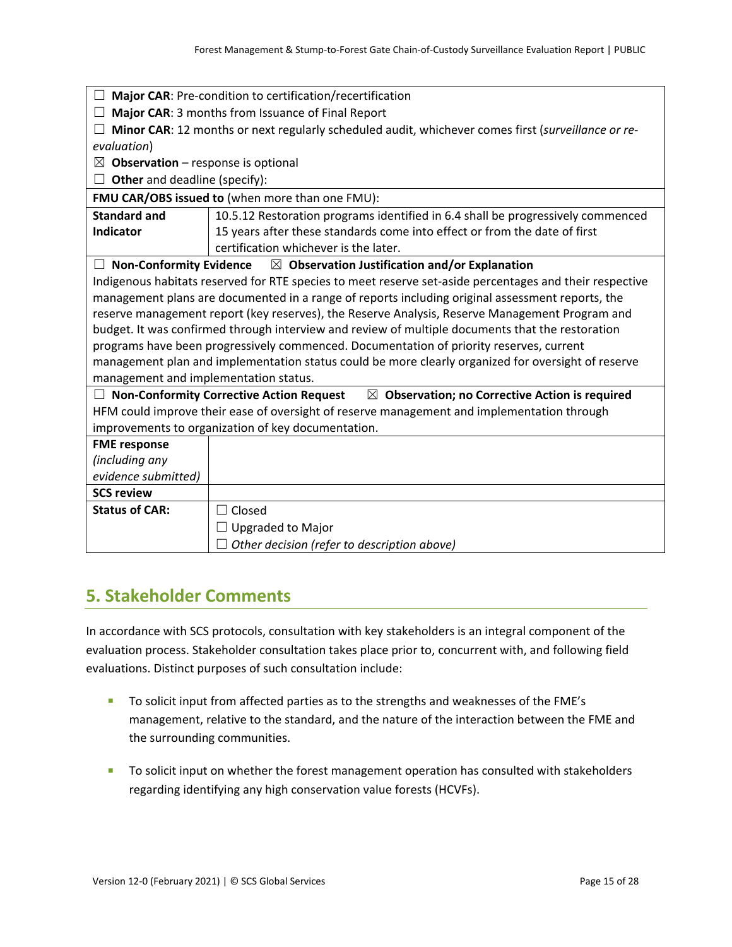|                                                                                                              | Major CAR: Pre-condition to certification/recertification                                               |  |  |
|--------------------------------------------------------------------------------------------------------------|---------------------------------------------------------------------------------------------------------|--|--|
| Major CAR: 3 months from Issuance of Final Report                                                            |                                                                                                         |  |  |
|                                                                                                              | Minor CAR: 12 months or next regularly scheduled audit, whichever comes first (surveillance or re-      |  |  |
| evaluation)                                                                                                  |                                                                                                         |  |  |
| Observation - response is optional<br>⊠                                                                      |                                                                                                         |  |  |
| Other and deadline (specify):                                                                                |                                                                                                         |  |  |
|                                                                                                              | FMU CAR/OBS issued to (when more than one FMU):                                                         |  |  |
| <b>Standard and</b>                                                                                          | 10.5.12 Restoration programs identified in 6.4 shall be progressively commenced                         |  |  |
| <b>Indicator</b>                                                                                             | 15 years after these standards come into effect or from the date of first                               |  |  |
|                                                                                                              | certification whichever is the later.                                                                   |  |  |
| <b>Non-Conformity Evidence</b>                                                                               | $\boxtimes$ Observation Justification and/or Explanation                                                |  |  |
|                                                                                                              | Indigenous habitats reserved for RTE species to meet reserve set-aside percentages and their respective |  |  |
|                                                                                                              | management plans are documented in a range of reports including original assessment reports, the        |  |  |
|                                                                                                              | reserve management report (key reserves), the Reserve Analysis, Reserve Management Program and          |  |  |
|                                                                                                              | budget. It was confirmed through interview and review of multiple documents that the restoration        |  |  |
| programs have been progressively commenced. Documentation of priority reserves, current                      |                                                                                                         |  |  |
| management plan and implementation status could be more clearly organized for oversight of reserve           |                                                                                                         |  |  |
| management and implementation status.                                                                        |                                                                                                         |  |  |
| $\Box$ Non-Conformity Corrective Action Request<br>$\boxtimes$ Observation; no Corrective Action is required |                                                                                                         |  |  |
| HFM could improve their ease of oversight of reserve management and implementation through                   |                                                                                                         |  |  |
| improvements to organization of key documentation.                                                           |                                                                                                         |  |  |
| <b>FME</b> response                                                                                          |                                                                                                         |  |  |
| (including any                                                                                               |                                                                                                         |  |  |
| evidence submitted)                                                                                          |                                                                                                         |  |  |
| <b>SCS review</b>                                                                                            |                                                                                                         |  |  |
| <b>Status of CAR:</b>                                                                                        | Closed                                                                                                  |  |  |
|                                                                                                              | $\Box$ Upgraded to Major                                                                                |  |  |
|                                                                                                              | $\Box$ Other decision (refer to description above)                                                      |  |  |

## <span id="page-14-0"></span>**5. Stakeholder Comments**

In accordance with SCS protocols, consultation with key stakeholders is an integral component of the evaluation process. Stakeholder consultation takes place prior to, concurrent with, and following field evaluations. Distinct purposes of such consultation include:

- To solicit input from affected parties as to the strengths and weaknesses of the FME's management, relative to the standard, and the nature of the interaction between the FME and the surrounding communities.
- To solicit input on whether the forest management operation has consulted with stakeholders regarding identifying any high conservation value forests (HCVFs).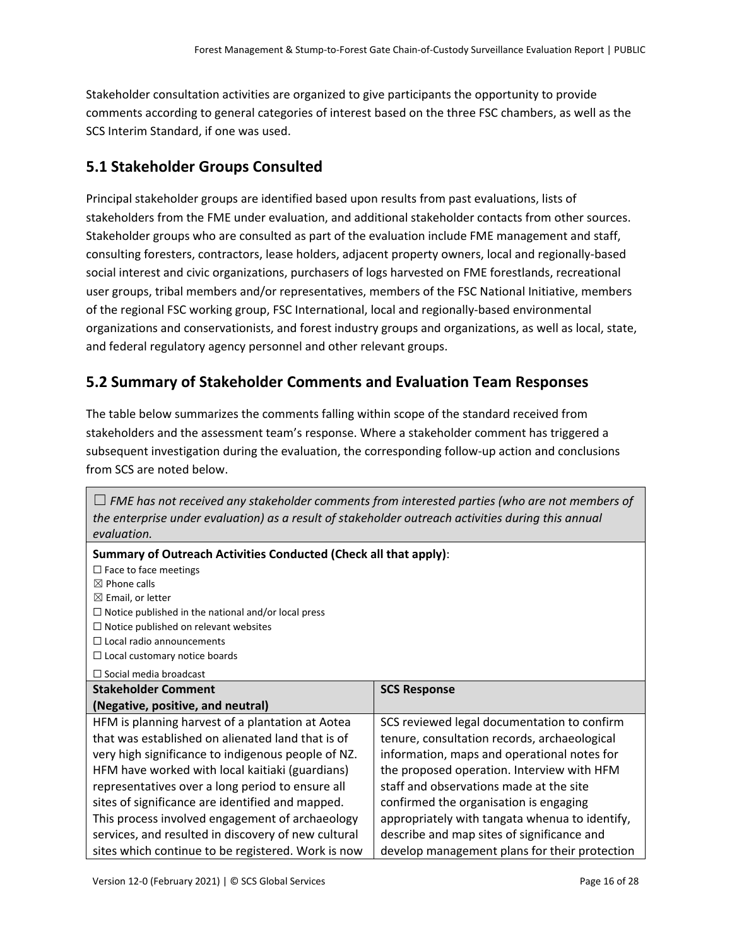Stakeholder consultation activities are organized to give participants the opportunity to provide comments according to general categories of interest based on the three FSC chambers, as well as the SCS Interim Standard, if one was used.

## <span id="page-15-0"></span>**5.1 Stakeholder Groups Consulted**

Principal stakeholder groups are identified based upon results from past evaluations, lists of stakeholders from the FME under evaluation, and additional stakeholder contacts from other sources. Stakeholder groups who are consulted as part of the evaluation include FME management and staff, consulting foresters, contractors, lease holders, adjacent property owners, local and regionally-based social interest and civic organizations, purchasers of logs harvested on FME forestlands, recreational user groups, tribal members and/or representatives, members of the FSC National Initiative, members of the regional FSC working group, FSC International, local and regionally-based environmental organizations and conservationists, and forest industry groups and organizations, as well as local, state, and federal regulatory agency personnel and other relevant groups.

## <span id="page-15-1"></span>**5.2 Summary of Stakeholder Comments and Evaluation Team Responses**

The table below summarizes the comments falling within scope of the standard received from stakeholders and the assessment team's response. Where a stakeholder comment has triggered a subsequent investigation during the evaluation, the corresponding follow-up action and conclusions from SCS are noted below.

| $\Box$ FME has not received any stakeholder comments from interested parties (who are not members of |                                                |  |  |
|------------------------------------------------------------------------------------------------------|------------------------------------------------|--|--|
| the enterprise under evaluation) as a result of stakeholder outreach activities during this annual   |                                                |  |  |
| evaluation.                                                                                          |                                                |  |  |
| Summary of Outreach Activities Conducted (Check all that apply):                                     |                                                |  |  |
| $\Box$ Face to face meetings                                                                         |                                                |  |  |
| $\boxtimes$ Phone calls                                                                              |                                                |  |  |
| $\boxtimes$ Email, or letter                                                                         |                                                |  |  |
| $\Box$ Notice published in the national and/or local press                                           |                                                |  |  |
| $\Box$ Notice published on relevant websites                                                         |                                                |  |  |
| $\Box$ Local radio announcements                                                                     |                                                |  |  |
| $\Box$ Local customary notice boards                                                                 |                                                |  |  |
| $\Box$ Social media broadcast                                                                        |                                                |  |  |
| <b>Stakeholder Comment</b>                                                                           | <b>SCS Response</b>                            |  |  |
| (Negative, positive, and neutral)                                                                    |                                                |  |  |
| HFM is planning harvest of a plantation at Aotea                                                     | SCS reviewed legal documentation to confirm    |  |  |
| that was established on alienated land that is of                                                    | tenure, consultation records, archaeological   |  |  |
| very high significance to indigenous people of NZ.                                                   | information, maps and operational notes for    |  |  |
| HFM have worked with local kaitiaki (guardians)                                                      | the proposed operation. Interview with HFM     |  |  |
| representatives over a long period to ensure all                                                     | staff and observations made at the site        |  |  |
| sites of significance are identified and mapped.                                                     | confirmed the organisation is engaging         |  |  |
| This process involved engagement of archaeology                                                      | appropriately with tangata whenua to identify, |  |  |
| services, and resulted in discovery of new cultural                                                  | describe and map sites of significance and     |  |  |
| sites which continue to be registered. Work is now                                                   | develop management plans for their protection  |  |  |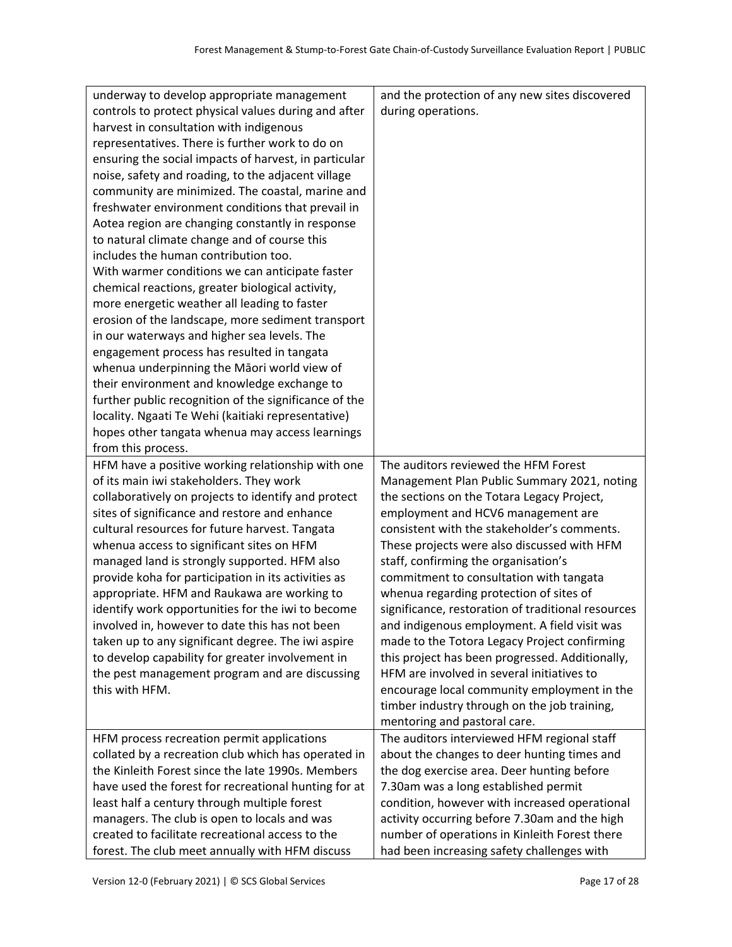| underway to develop appropriate management            | and the protection of any new sites discovered     |
|-------------------------------------------------------|----------------------------------------------------|
| controls to protect physical values during and after  | during operations.                                 |
| harvest in consultation with indigenous               |                                                    |
| representatives. There is further work to do on       |                                                    |
| ensuring the social impacts of harvest, in particular |                                                    |
| noise, safety and roading, to the adjacent village    |                                                    |
| community are minimized. The coastal, marine and      |                                                    |
| freshwater environment conditions that prevail in     |                                                    |
| Aotea region are changing constantly in response      |                                                    |
| to natural climate change and of course this          |                                                    |
| includes the human contribution too.                  |                                                    |
| With warmer conditions we can anticipate faster       |                                                    |
| chemical reactions, greater biological activity,      |                                                    |
| more energetic weather all leading to faster          |                                                    |
| erosion of the landscape, more sediment transport     |                                                    |
| in our waterways and higher sea levels. The           |                                                    |
| engagement process has resulted in tangata            |                                                    |
| whenua underpinning the Māori world view of           |                                                    |
| their environment and knowledge exchange to           |                                                    |
| further public recognition of the significance of the |                                                    |
| locality. Ngaati Te Wehi (kaitiaki representative)    |                                                    |
| hopes other tangata whenua may access learnings       |                                                    |
| from this process.                                    |                                                    |
| HFM have a positive working relationship with one     | The auditors reviewed the HFM Forest               |
| of its main iwi stakeholders. They work               | Management Plan Public Summary 2021, noting        |
| collaboratively on projects to identify and protect   | the sections on the Totara Legacy Project,         |
| sites of significance and restore and enhance         | employment and HCV6 management are                 |
| cultural resources for future harvest. Tangata        | consistent with the stakeholder's comments.        |
| whenua access to significant sites on HFM             | These projects were also discussed with HFM        |
| managed land is strongly supported. HFM also          | staff, confirming the organisation's               |
| provide koha for participation in its activities as   | commitment to consultation with tangata            |
| appropriate. HFM and Raukawa are working to           | whenua regarding protection of sites of            |
| identify work opportunities for the iwi to become     | significance, restoration of traditional resources |
| involved in, however to date this has not been        | and indigenous employment. A field visit was       |
| taken up to any significant degree. The iwi aspire    | made to the Totora Legacy Project confirming       |
| to develop capability for greater involvement in      | this project has been progressed. Additionally,    |
| the pest management program and are discussing        | HFM are involved in several initiatives to         |
| this with HFM.                                        | encourage local community employment in the        |
|                                                       | timber industry through on the job training,       |
|                                                       | mentoring and pastoral care.                       |
| HFM process recreation permit applications            | The auditors interviewed HFM regional staff        |
| collated by a recreation club which has operated in   | about the changes to deer hunting times and        |
| the Kinleith Forest since the late 1990s. Members     | the dog exercise area. Deer hunting before         |
| have used the forest for recreational hunting for at  | 7.30am was a long established permit               |
| least half a century through multiple forest          | condition, however with increased operational      |
| managers. The club is open to locals and was          | activity occurring before 7.30am and the high      |
| created to facilitate recreational access to the      | number of operations in Kinleith Forest there      |
| forest. The club meet annually with HFM discuss       | had been increasing safety challenges with         |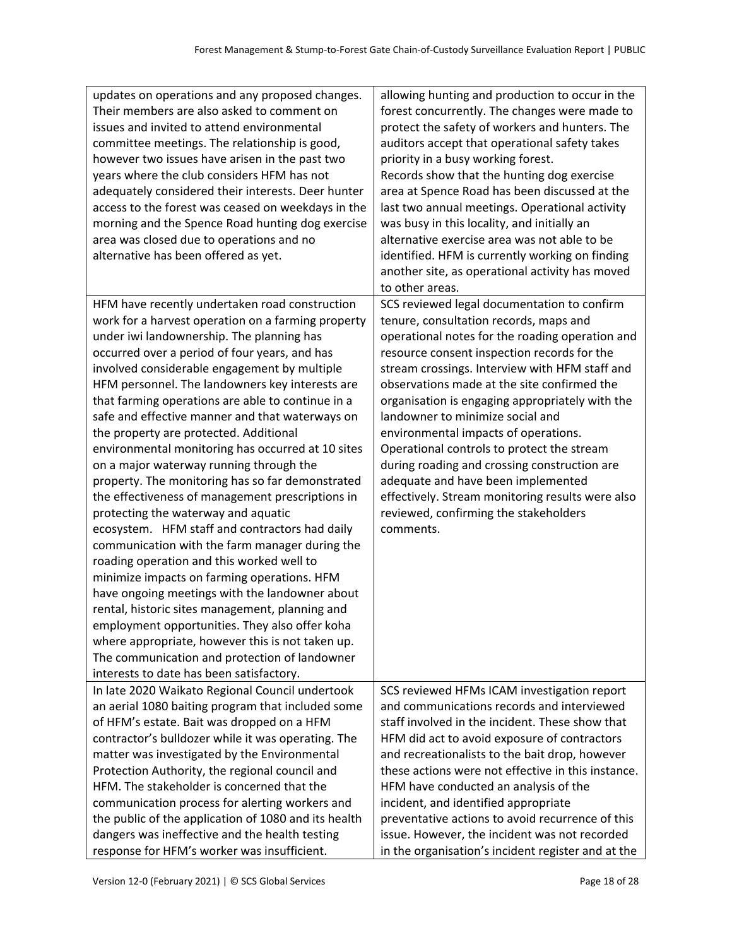| updates on operations and any proposed changes.      | allowing hunting and production to occur in the    |
|------------------------------------------------------|----------------------------------------------------|
| Their members are also asked to comment on           | forest concurrently. The changes were made to      |
| issues and invited to attend environmental           | protect the safety of workers and hunters. The     |
| committee meetings. The relationship is good,        | auditors accept that operational safety takes      |
| however two issues have arisen in the past two       | priority in a busy working forest.                 |
| years where the club considers HFM has not           | Records show that the hunting dog exercise         |
| adequately considered their interests. Deer hunter   | area at Spence Road has been discussed at the      |
| access to the forest was ceased on weekdays in the   | last two annual meetings. Operational activity     |
| morning and the Spence Road hunting dog exercise     | was busy in this locality, and initially an        |
| area was closed due to operations and no             | alternative exercise area was not able to be       |
| alternative has been offered as yet.                 | identified. HFM is currently working on finding    |
|                                                      | another site, as operational activity has moved    |
|                                                      | to other areas.                                    |
| HFM have recently undertaken road construction       | SCS reviewed legal documentation to confirm        |
| work for a harvest operation on a farming property   | tenure, consultation records, maps and             |
| under iwi landownership. The planning has            | operational notes for the roading operation and    |
| occurred over a period of four years, and has        | resource consent inspection records for the        |
| involved considerable engagement by multiple         | stream crossings. Interview with HFM staff and     |
| HFM personnel. The landowners key interests are      | observations made at the site confirmed the        |
| that farming operations are able to continue in a    | organisation is engaging appropriately with the    |
| safe and effective manner and that waterways on      | landowner to minimize social and                   |
| the property are protected. Additional               | environmental impacts of operations.               |
| environmental monitoring has occurred at 10 sites    | Operational controls to protect the stream         |
| on a major waterway running through the              | during roading and crossing construction are       |
| property. The monitoring has so far demonstrated     | adequate and have been implemented                 |
| the effectiveness of management prescriptions in     | effectively. Stream monitoring results were also   |
| protecting the waterway and aquatic                  | reviewed, confirming the stakeholders              |
| ecosystem. HFM staff and contractors had daily       | comments.                                          |
| communication with the farm manager during the       |                                                    |
| roading operation and this worked well to            |                                                    |
| minimize impacts on farming operations. HFM          |                                                    |
| have ongoing meetings with the landowner about       |                                                    |
| rental, historic sites management, planning and      |                                                    |
| employment opportunities. They also offer koha       |                                                    |
| where appropriate, however this is not taken up.     |                                                    |
| The communication and protection of landowner        |                                                    |
| interests to date has been satisfactory.             |                                                    |
| In late 2020 Waikato Regional Council undertook      | SCS reviewed HFMs ICAM investigation report        |
| an aerial 1080 baiting program that included some    | and communications records and interviewed         |
| of HFM's estate. Bait was dropped on a HFM           | staff involved in the incident. These show that    |
| contractor's bulldozer while it was operating. The   | HFM did act to avoid exposure of contractors       |
| matter was investigated by the Environmental         | and recreationalists to the bait drop, however     |
| Protection Authority, the regional council and       | these actions were not effective in this instance. |
| HFM. The stakeholder is concerned that the           | HFM have conducted an analysis of the              |
| communication process for alerting workers and       | incident, and identified appropriate               |
| the public of the application of 1080 and its health | preventative actions to avoid recurrence of this   |
| dangers was ineffective and the health testing       | issue. However, the incident was not recorded      |
| response for HFM's worker was insufficient.          | in the organisation's incident register and at the |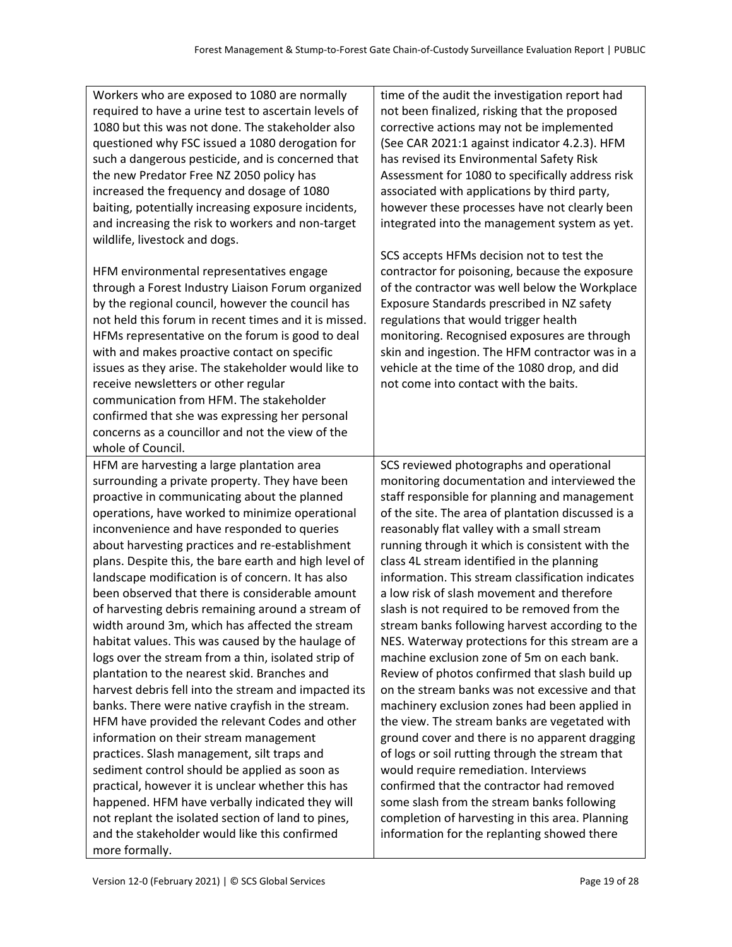| Workers who are exposed to 1080 are normally<br>required to have a urine test to ascertain levels of<br>1080 but this was not done. The stakeholder also<br>questioned why FSC issued a 1080 derogation for<br>such a dangerous pesticide, and is concerned that<br>the new Predator Free NZ 2050 policy has<br>increased the frequency and dosage of 1080<br>baiting, potentially increasing exposure incidents,<br>and increasing the risk to workers and non-target<br>wildlife, livestock and dogs.                                                                                                                                                                                                                                                                                                                                                                                                                                                                                                                                                                                                                                                                                                                                                                        | time of the audit the investigation report had<br>not been finalized, risking that the proposed<br>corrective actions may not be implemented<br>(See CAR 2021:1 against indicator 4.2.3). HFM<br>has revised its Environmental Safety Risk<br>Assessment for 1080 to specifically address risk<br>associated with applications by third party,<br>however these processes have not clearly been<br>integrated into the management system as yet.                                                                                                                                                                                                                                                                                                                                                                                                                                                                                                                                                                                                                                                                                                                                                       |
|--------------------------------------------------------------------------------------------------------------------------------------------------------------------------------------------------------------------------------------------------------------------------------------------------------------------------------------------------------------------------------------------------------------------------------------------------------------------------------------------------------------------------------------------------------------------------------------------------------------------------------------------------------------------------------------------------------------------------------------------------------------------------------------------------------------------------------------------------------------------------------------------------------------------------------------------------------------------------------------------------------------------------------------------------------------------------------------------------------------------------------------------------------------------------------------------------------------------------------------------------------------------------------|--------------------------------------------------------------------------------------------------------------------------------------------------------------------------------------------------------------------------------------------------------------------------------------------------------------------------------------------------------------------------------------------------------------------------------------------------------------------------------------------------------------------------------------------------------------------------------------------------------------------------------------------------------------------------------------------------------------------------------------------------------------------------------------------------------------------------------------------------------------------------------------------------------------------------------------------------------------------------------------------------------------------------------------------------------------------------------------------------------------------------------------------------------------------------------------------------------|
| HFM environmental representatives engage<br>through a Forest Industry Liaison Forum organized<br>by the regional council, however the council has<br>not held this forum in recent times and it is missed.<br>HFMs representative on the forum is good to deal<br>with and makes proactive contact on specific<br>issues as they arise. The stakeholder would like to<br>receive newsletters or other regular<br>communication from HFM. The stakeholder<br>confirmed that she was expressing her personal<br>concerns as a councillor and not the view of the<br>whole of Council.                                                                                                                                                                                                                                                                                                                                                                                                                                                                                                                                                                                                                                                                                            | SCS accepts HFMs decision not to test the<br>contractor for poisoning, because the exposure<br>of the contractor was well below the Workplace<br>Exposure Standards prescribed in NZ safety<br>regulations that would trigger health<br>monitoring. Recognised exposures are through<br>skin and ingestion. The HFM contractor was in a<br>vehicle at the time of the 1080 drop, and did<br>not come into contact with the baits.                                                                                                                                                                                                                                                                                                                                                                                                                                                                                                                                                                                                                                                                                                                                                                      |
| HFM are harvesting a large plantation area<br>surrounding a private property. They have been<br>proactive in communicating about the planned<br>operations, have worked to minimize operational<br>inconvenience and have responded to queries<br>about harvesting practices and re-establishment<br>plans. Despite this, the bare earth and high level of<br>landscape modification is of concern. It has also<br>been observed that there is considerable amount<br>of harvesting debris remaining around a stream of<br>width around 3m, which has affected the stream<br>habitat values. This was caused by the haulage of<br>logs over the stream from a thin, isolated strip of<br>plantation to the nearest skid. Branches and<br>harvest debris fell into the stream and impacted its<br>banks. There were native crayfish in the stream.<br>HFM have provided the relevant Codes and other<br>information on their stream management<br>practices. Slash management, silt traps and<br>sediment control should be applied as soon as<br>practical, however it is unclear whether this has<br>happened. HFM have verbally indicated they will<br>not replant the isolated section of land to pines,<br>and the stakeholder would like this confirmed<br>more formally. | SCS reviewed photographs and operational<br>monitoring documentation and interviewed the<br>staff responsible for planning and management<br>of the site. The area of plantation discussed is a<br>reasonably flat valley with a small stream<br>running through it which is consistent with the<br>class 4L stream identified in the planning<br>information. This stream classification indicates<br>a low risk of slash movement and therefore<br>slash is not required to be removed from the<br>stream banks following harvest according to the<br>NES. Waterway protections for this stream are a<br>machine exclusion zone of 5m on each bank.<br>Review of photos confirmed that slash build up<br>on the stream banks was not excessive and that<br>machinery exclusion zones had been applied in<br>the view. The stream banks are vegetated with<br>ground cover and there is no apparent dragging<br>of logs or soil rutting through the stream that<br>would require remediation. Interviews<br>confirmed that the contractor had removed<br>some slash from the stream banks following<br>completion of harvesting in this area. Planning<br>information for the replanting showed there |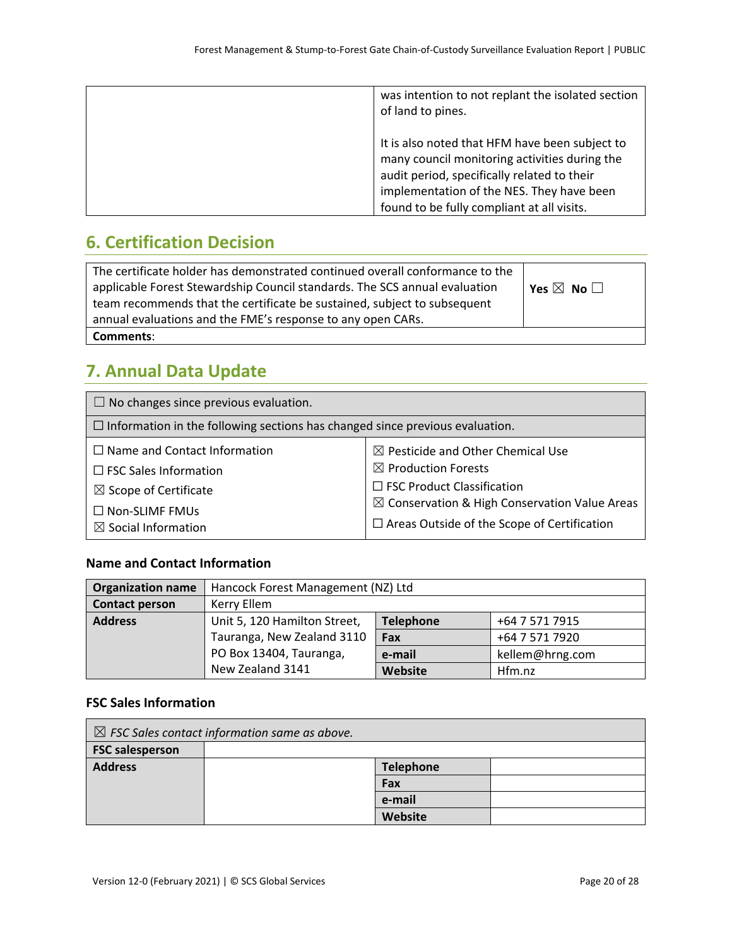| was intention to not replant the isolated section<br>of land to pines.                                                                                                                                                                    |
|-------------------------------------------------------------------------------------------------------------------------------------------------------------------------------------------------------------------------------------------|
| It is also noted that HFM have been subject to<br>many council monitoring activities during the<br>audit period, specifically related to their<br>implementation of the NES. They have been<br>found to be fully compliant at all visits. |

# <span id="page-19-0"></span>**6. Certification Decision**

| The certificate holder has demonstrated continued overall conformance to the<br>applicable Forest Stewardship Council standards. The SCS annual evaluation<br>team recommends that the certificate be sustained, subject to subsequent<br>annual evaluations and the FME's response to any open CARs. | Yes $\boxtimes$ No $\square$ |
|-------------------------------------------------------------------------------------------------------------------------------------------------------------------------------------------------------------------------------------------------------------------------------------------------------|------------------------------|
| <b>Comments:</b>                                                                                                                                                                                                                                                                                      |                              |

# <span id="page-19-1"></span>**7. Annual Data Update**

| $\Box$ No changes since previous evaluation.                                                                                                                       |                                                                                                                                                                                                                                       |  |  |
|--------------------------------------------------------------------------------------------------------------------------------------------------------------------|---------------------------------------------------------------------------------------------------------------------------------------------------------------------------------------------------------------------------------------|--|--|
| $\Box$ Information in the following sections has changed since previous evaluation.                                                                                |                                                                                                                                                                                                                                       |  |  |
| $\Box$ Name and Contact Information<br>$\Box$ FSC Sales Information<br>$\boxtimes$ Scope of Certificate<br>$\Box$ Non-SLIMF FMUs<br>$\boxtimes$ Social Information | $\boxtimes$ Pesticide and Other Chemical Use<br>$\boxtimes$ Production Forests<br>$\Box$ FSC Product Classification<br>$\boxtimes$ Conservation & High Conservation Value Areas<br>$\Box$ Areas Outside of the Scope of Certification |  |  |

#### **Name and Contact Information**

| <b>Organization name</b> | Hancock Forest Management (NZ) Ltd                                 |                           |  |  |  |
|--------------------------|--------------------------------------------------------------------|---------------------------|--|--|--|
| <b>Contact person</b>    | Kerry Ellem                                                        |                           |  |  |  |
| <b>Address</b>           | Unit 5, 120 Hamilton Street,<br><b>Telephone</b><br>+64 7 571 7915 |                           |  |  |  |
|                          | Tauranga, New Zealand 3110<br>+64 7 571 7920<br>Fax                |                           |  |  |  |
|                          | PO Box 13404, Tauranga,                                            | e-mail<br>kellem@hrng.com |  |  |  |
|                          | New Zealand 3141<br>Website<br>Hfm.nz                              |                           |  |  |  |

#### **FSC Sales Information**

| $\boxtimes$ FSC Sales contact information same as above. |        |                  |  |
|----------------------------------------------------------|--------|------------------|--|
| <b>FSC salesperson</b>                                   |        |                  |  |
| <b>Address</b>                                           |        | <b>Telephone</b> |  |
|                                                          |        | Fax              |  |
|                                                          | e-mail |                  |  |
|                                                          |        | Website          |  |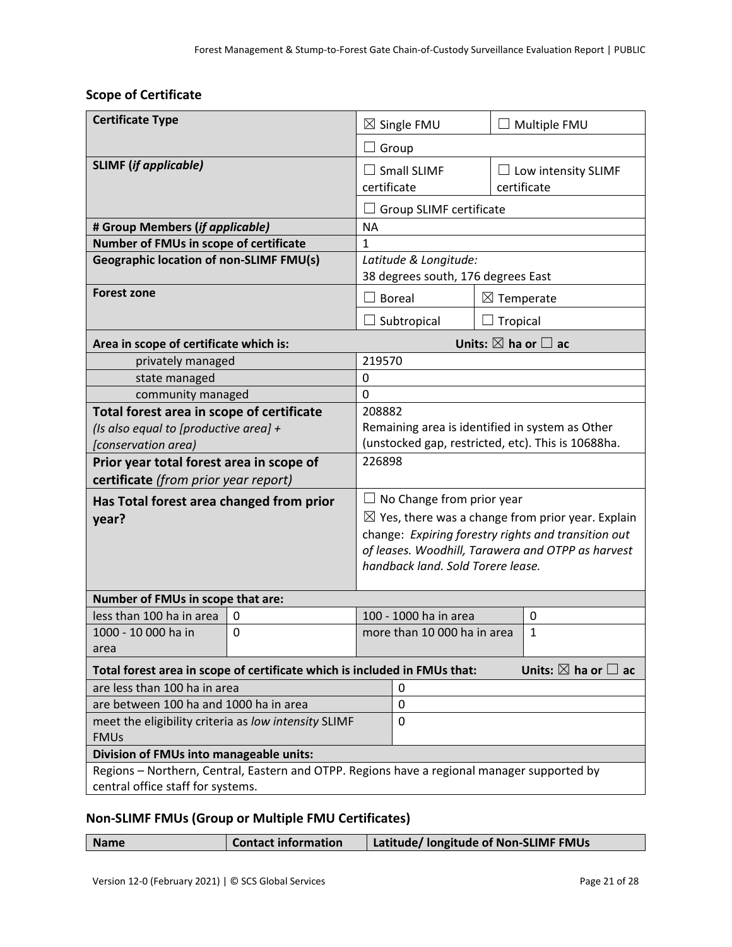## **Scope of Certificate**

| <b>Certificate Type</b>                                                                                                          |             |                                                                                                                                                                                                                                                   | $\boxtimes$ Single FMU                                      |                       | $\Box$ Multiple FMU                       |
|----------------------------------------------------------------------------------------------------------------------------------|-------------|---------------------------------------------------------------------------------------------------------------------------------------------------------------------------------------------------------------------------------------------------|-------------------------------------------------------------|-----------------------|-------------------------------------------|
|                                                                                                                                  |             |                                                                                                                                                                                                                                                   | Group                                                       |                       |                                           |
| <b>SLIMF</b> (if applicable)                                                                                                     |             | certificate                                                                                                                                                                                                                                       | Small SLIMF                                                 |                       | $\Box$ Low intensity SLIMF<br>certificate |
|                                                                                                                                  |             |                                                                                                                                                                                                                                                   | Group SLIMF certificate                                     |                       |                                           |
| # Group Members (if applicable)                                                                                                  |             | <b>NA</b>                                                                                                                                                                                                                                         |                                                             |                       |                                           |
| Number of FMUs in scope of certificate                                                                                           |             | 1                                                                                                                                                                                                                                                 |                                                             |                       |                                           |
| <b>Geographic location of non-SLIMF FMU(s)</b>                                                                                   |             |                                                                                                                                                                                                                                                   | Latitude & Longitude:<br>38 degrees south, 176 degrees East |                       |                                           |
| <b>Forest zone</b>                                                                                                               |             |                                                                                                                                                                                                                                                   | <b>Boreal</b>                                               | $\boxtimes$ Temperate |                                           |
|                                                                                                                                  |             |                                                                                                                                                                                                                                                   | Subtropical                                                 | Tropical              |                                           |
| Area in scope of certificate which is:                                                                                           |             |                                                                                                                                                                                                                                                   |                                                             |                       | Units: $\boxtimes$ ha or $\Box$ ac        |
| privately managed                                                                                                                |             | 219570                                                                                                                                                                                                                                            |                                                             |                       |                                           |
| state managed                                                                                                                    |             | 0                                                                                                                                                                                                                                                 |                                                             |                       |                                           |
| community managed                                                                                                                |             | $\mathbf 0$                                                                                                                                                                                                                                       |                                                             |                       |                                           |
| Total forest area in scope of certificate<br>(Is also equal to [productive area] +<br>(conservation area)                        |             | 208882<br>Remaining area is identified in system as Other<br>(unstocked gap, restricted, etc). This is 10688ha.                                                                                                                                   |                                                             |                       |                                           |
| Prior year total forest area in scope of<br>certificate (from prior year report)                                                 |             | 226898                                                                                                                                                                                                                                            |                                                             |                       |                                           |
| Has Total forest area changed from prior<br>year?                                                                                |             | $\Box$ No Change from prior year<br>$\boxtimes$ Yes, there was a change from prior year. Explain<br>change: Expiring forestry rights and transition out<br>of leases. Woodhill, Tarawera and OTPP as harvest<br>handback land. Sold Torere lease. |                                                             |                       |                                           |
| Number of FMUs in scope that are:                                                                                                |             |                                                                                                                                                                                                                                                   |                                                             |                       |                                           |
| less than 100 ha in area                                                                                                         | $\mathbf 0$ | 100 - 1000 ha in area<br>$\mathbf 0$                                                                                                                                                                                                              |                                                             |                       |                                           |
| 1000 - 10 000 ha in<br>area                                                                                                      | 0           | $\mathbf{1}$<br>more than 10 000 ha in area                                                                                                                                                                                                       |                                                             |                       |                                           |
| Total forest area in scope of certificate which is included in FMUs that:                                                        |             |                                                                                                                                                                                                                                                   |                                                             |                       | Units: $\boxtimes$ ha or $\Box$ ac        |
| are less than 100 ha in area                                                                                                     |             | 0                                                                                                                                                                                                                                                 |                                                             |                       |                                           |
| are between 100 ha and 1000 ha in area                                                                                           |             | 0                                                                                                                                                                                                                                                 |                                                             |                       |                                           |
| meet the eligibility criteria as low intensity SLIMF<br><b>FMUs</b>                                                              |             |                                                                                                                                                                                                                                                   | $\mathbf 0$                                                 |                       |                                           |
| Division of FMUs into manageable units:                                                                                          |             |                                                                                                                                                                                                                                                   |                                                             |                       |                                           |
| Regions - Northern, Central, Eastern and OTPP. Regions have a regional manager supported by<br>central office staff for systems. |             |                                                                                                                                                                                                                                                   |                                                             |                       |                                           |

#### **Non-SLIMF FMUs (Group or Multiple FMU Certificates)**

| <b>Name</b> | <b>Contact information</b> | Latitude/ longitude of Non-SLIMF FMUs |
|-------------|----------------------------|---------------------------------------|
|             |                            |                                       |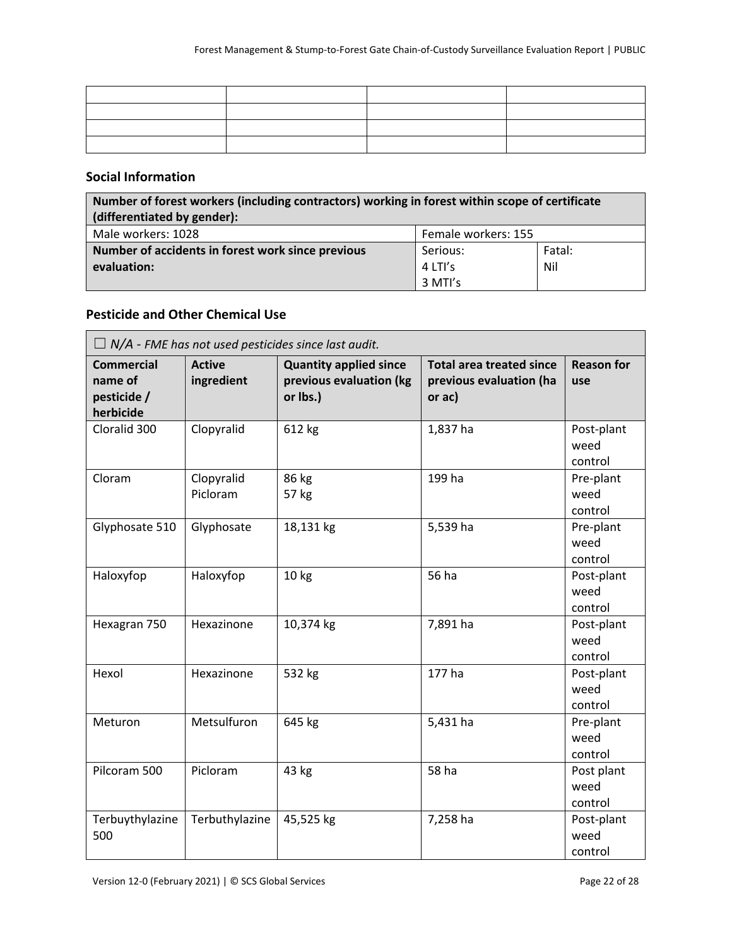#### **Social Information**

| Number of forest workers (including contractors) working in forest within scope of certificate<br>(differentiated by gender): |                     |        |
|-------------------------------------------------------------------------------------------------------------------------------|---------------------|--------|
| Male workers: 1028                                                                                                            | Female workers: 155 |        |
| Number of accidents in forest work since previous                                                                             | Serious:            | Fatal: |
| evaluation:                                                                                                                   | 4 LTI's             | Nil    |
|                                                                                                                               | 3 MTI's             |        |

#### **Pesticide and Other Chemical Use**

| $\Box$ N/A - FME has not used pesticides since last audit. |                             |                                                                      |                                                                      |                               |
|------------------------------------------------------------|-----------------------------|----------------------------------------------------------------------|----------------------------------------------------------------------|-------------------------------|
| <b>Commercial</b><br>name of<br>pesticide /<br>herbicide   | <b>Active</b><br>ingredient | <b>Quantity applied since</b><br>previous evaluation (kg<br>or lbs.) | <b>Total area treated since</b><br>previous evaluation (ha<br>or ac) | <b>Reason for</b><br>use      |
| Cloralid 300                                               | Clopyralid                  | 612 kg                                                               | 1,837 ha                                                             | Post-plant<br>weed<br>control |
| Cloram                                                     | Clopyralid<br>Picloram      | 86 kg<br>57 kg                                                       | 199 ha                                                               | Pre-plant<br>weed<br>control  |
| Glyphosate 510                                             | Glyphosate                  | 18,131 kg                                                            | 5,539 ha                                                             | Pre-plant<br>weed<br>control  |
| Haloxyfop                                                  | Haloxyfop                   | 10 kg                                                                | 56 ha                                                                | Post-plant<br>weed<br>control |
| Hexagran 750                                               | Hexazinone                  | 10,374 kg                                                            | 7,891 ha                                                             | Post-plant<br>weed<br>control |
| Hexol                                                      | Hexazinone                  | 532 kg                                                               | 177 ha                                                               | Post-plant<br>weed<br>control |
| Meturon                                                    | Metsulfuron                 | 645 kg                                                               | 5,431 ha                                                             | Pre-plant<br>weed<br>control  |
| Pilcoram 500                                               | Picloram                    | 43 kg                                                                | 58 ha                                                                | Post plant<br>weed<br>control |
| Terbuythylazine<br>500                                     | Terbuthylazine              | 45,525 kg                                                            | 7,258 ha                                                             | Post-plant<br>weed<br>control |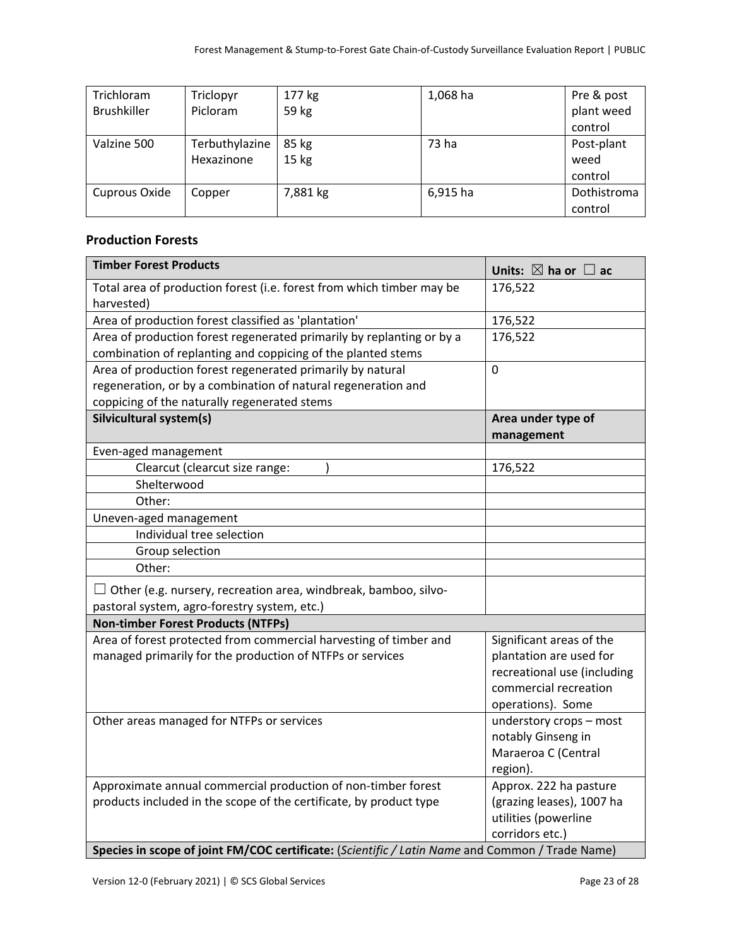| Trichloram         | Triclopyr      | 177 kg           | 1,068 ha | Pre & post  |
|--------------------|----------------|------------------|----------|-------------|
| <b>Brushkiller</b> | Picloram       | 59 kg            |          | plant weed  |
|                    |                |                  |          | control     |
| Valzine 500        | Terbuthylazine | 85 kg            | 73 ha    | Post-plant  |
|                    | Hexazinone     | 15 <sub>kg</sub> |          | weed        |
|                    |                |                  |          | control     |
| Cuprous Oxide      | Copper         | 7,881 kg         | 6,915 ha | Dothistroma |
|                    |                |                  |          | control     |

#### **Production Forests**

| <b>Timber Forest Products</b>                                                                                                         | Units: $\boxtimes$ ha or $\Box$ ac |
|---------------------------------------------------------------------------------------------------------------------------------------|------------------------------------|
| Total area of production forest (i.e. forest from which timber may be<br>harvested)                                                   | 176,522                            |
| Area of production forest classified as 'plantation'                                                                                  | 176,522                            |
| Area of production forest regenerated primarily by replanting or by a<br>combination of replanting and coppicing of the planted stems | 176,522                            |
| Area of production forest regenerated primarily by natural                                                                            | 0                                  |
| regeneration, or by a combination of natural regeneration and                                                                         |                                    |
| coppicing of the naturally regenerated stems                                                                                          |                                    |
| Silvicultural system(s)                                                                                                               | Area under type of<br>management   |
| Even-aged management                                                                                                                  |                                    |
| Clearcut (clearcut size range:                                                                                                        | 176,522                            |
| Shelterwood                                                                                                                           |                                    |
| Other:                                                                                                                                |                                    |
| Uneven-aged management                                                                                                                |                                    |
| Individual tree selection                                                                                                             |                                    |
| Group selection                                                                                                                       |                                    |
| Other:                                                                                                                                |                                    |
| $\Box$ Other (e.g. nursery, recreation area, windbreak, bamboo, silvo-                                                                |                                    |
| pastoral system, agro-forestry system, etc.)                                                                                          |                                    |
| <b>Non-timber Forest Products (NTFPs)</b>                                                                                             |                                    |
| Area of forest protected from commercial harvesting of timber and                                                                     | Significant areas of the           |
| managed primarily for the production of NTFPs or services                                                                             | plantation are used for            |
|                                                                                                                                       | recreational use (including        |
|                                                                                                                                       | commercial recreation              |
|                                                                                                                                       | operations). Some                  |
| Other areas managed for NTFPs or services                                                                                             | understory crops - most            |
|                                                                                                                                       | notably Ginseng in                 |
|                                                                                                                                       | Maraeroa C (Central                |
|                                                                                                                                       | region).                           |
| Approximate annual commercial production of non-timber forest                                                                         | Approx. 222 ha pasture             |
| products included in the scope of the certificate, by product type                                                                    | (grazing leases), 1007 ha          |
|                                                                                                                                       | utilities (powerline               |
|                                                                                                                                       | corridors etc.)                    |
| Species in scope of joint FM/COC certificate: (Scientific / Latin Name and Common / Trade Name)                                       |                                    |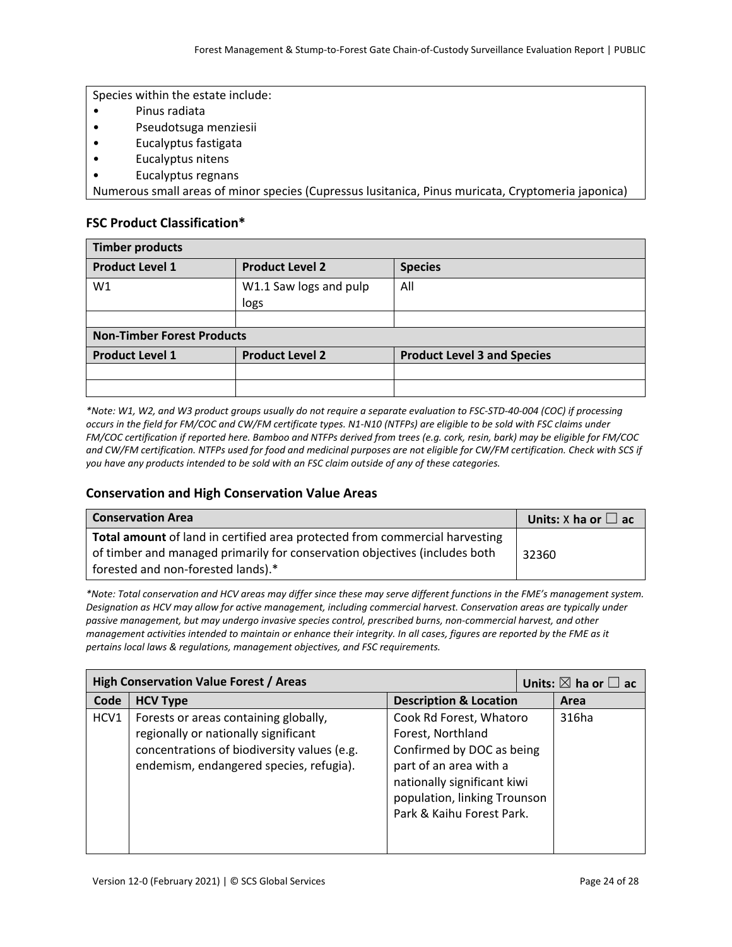Species within the estate include:

- Pinus radiata
- Pseudotsuga menziesii
- Eucalyptus fastigata
- Eucalyptus nitens
- Eucalyptus regnans

Numerous small areas of minor species (Cupressus lusitanica, Pinus muricata, Cryptomeria japonica)

#### **FSC Product Classification\***

| <b>Timber products</b>            |                        |                                    |  |
|-----------------------------------|------------------------|------------------------------------|--|
| <b>Product Level 1</b>            | <b>Product Level 2</b> | <b>Species</b>                     |  |
| W1                                | W1.1 Saw logs and pulp | All                                |  |
|                                   | logs                   |                                    |  |
|                                   |                        |                                    |  |
| <b>Non-Timber Forest Products</b> |                        |                                    |  |
| <b>Product Level 1</b>            | <b>Product Level 2</b> | <b>Product Level 3 and Species</b> |  |
|                                   |                        |                                    |  |
|                                   |                        |                                    |  |

*\*Note: W1, W2, and W3 product groups usually do not require a separate evaluation to FSC-STD-40-004 (COC) if processing occurs in the field for FM/COC and CW/FM certificate types. N1-N10 (NTFPs) are eligible to be sold with FSC claims under FM/COC certification if reported here. Bamboo and NTFPs derived from trees (e.g. cork, resin, bark) may be eligible for FM/COC and CW/FM certification. NTFPs used for food and medicinal purposes are not eligible for CW/FM certification. Check with SCS if you have any products intended to be sold with an FSC claim outside of any of these categories.*

#### **Conservation and High Conservation Value Areas**

| <b>Conservation Area</b>                                                                                                                                                                        | Units: $X$ ha or $\square$ ac |
|-------------------------------------------------------------------------------------------------------------------------------------------------------------------------------------------------|-------------------------------|
| Total amount of land in certified area protected from commercial harvesting<br>of timber and managed primarily for conservation objectives (includes both<br>forested and non-forested lands).* | 32360                         |

*\*Note: Total conservation and HCV areas may differ since these may serve different functions in the FME's management system. Designation as HCV may allow for active management, including commercial harvest. Conservation areas are typically under passive management, but may undergo invasive species control, prescribed burns, non-commercial harvest, and other management activities intended to maintain or enhance their integrity. In all cases, figures are reported by the FME as it pertains local laws & regulations, management objectives, and FSC requirements.*

| <b>High Conservation Value Forest / Areas</b> |                                                                                                                                                                         |                                                                                                                                                                                                 | Units: $\boxtimes$ ha or $\Box$ ac |
|-----------------------------------------------|-------------------------------------------------------------------------------------------------------------------------------------------------------------------------|-------------------------------------------------------------------------------------------------------------------------------------------------------------------------------------------------|------------------------------------|
| Code                                          | <b>HCV Type</b>                                                                                                                                                         | <b>Description &amp; Location</b>                                                                                                                                                               | Area                               |
| HCV1                                          | Forests or areas containing globally,<br>regionally or nationally significant<br>concentrations of biodiversity values (e.g.<br>endemism, endangered species, refugia). | Cook Rd Forest, Whatoro<br>Forest, Northland<br>Confirmed by DOC as being<br>part of an area with a<br>nationally significant kiwi<br>population, linking Trounson<br>Park & Kaihu Forest Park. | 316ha                              |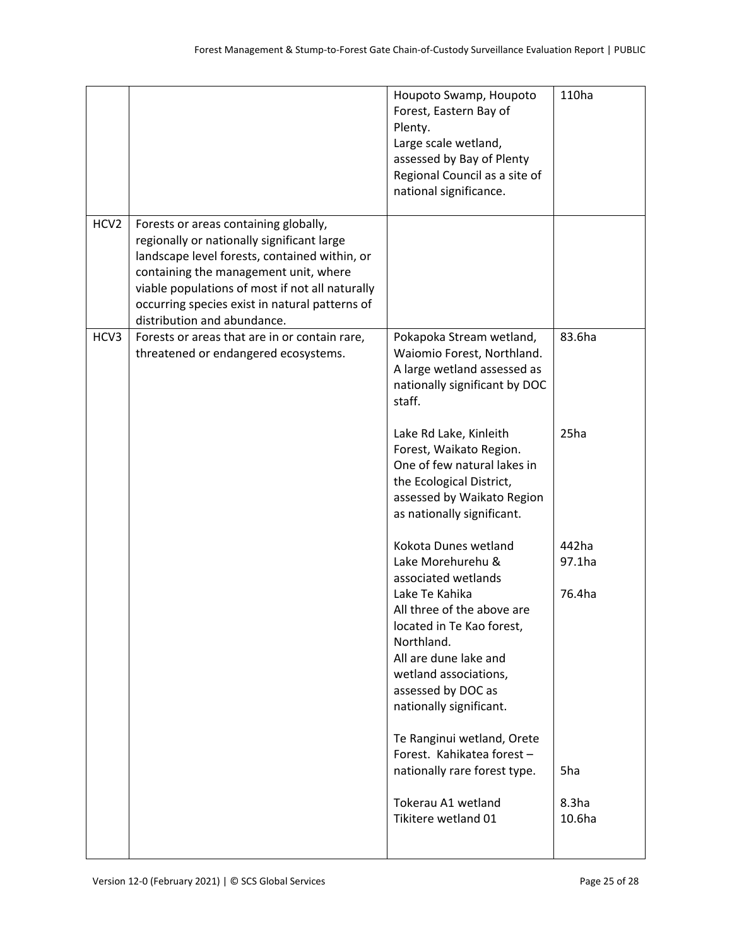| HCV <sub>2</sub> | Forests or areas containing globally,<br>regionally or nationally significant large                                                                                                                                        | Houpoto Swamp, Houpoto<br>Forest, Eastern Bay of<br>Plenty.<br>Large scale wetland,<br>assessed by Bay of Plenty<br>Regional Council as a site of<br>national significance.                | 110ha           |
|------------------|----------------------------------------------------------------------------------------------------------------------------------------------------------------------------------------------------------------------------|--------------------------------------------------------------------------------------------------------------------------------------------------------------------------------------------|-----------------|
|                  | landscape level forests, contained within, or<br>containing the management unit, where<br>viable populations of most if not all naturally<br>occurring species exist in natural patterns of<br>distribution and abundance. |                                                                                                                                                                                            |                 |
| HCV3             | Forests or areas that are in or contain rare,<br>threatened or endangered ecosystems.                                                                                                                                      | Pokapoka Stream wetland,<br>Waiomio Forest, Northland.<br>A large wetland assessed as<br>nationally significant by DOC<br>staff.                                                           | 83.6ha          |
|                  |                                                                                                                                                                                                                            | Lake Rd Lake, Kinleith<br>Forest, Waikato Region.<br>One of few natural lakes in<br>the Ecological District,<br>assessed by Waikato Region<br>as nationally significant.                   | 25ha            |
|                  |                                                                                                                                                                                                                            | Kokota Dunes wetland<br>Lake Morehurehu &<br>associated wetlands                                                                                                                           | 442ha<br>97.1ha |
|                  |                                                                                                                                                                                                                            | Lake Te Kahika<br>All three of the above are<br>located in Te Kao forest,<br>Northland.<br>All are dune lake and<br>wetland associations,<br>assessed by DOC as<br>nationally significant. | 76.4ha          |
|                  |                                                                                                                                                                                                                            | Te Ranginui wetland, Orete<br>Forest. Kahikatea forest-<br>nationally rare forest type.                                                                                                    | 5ha             |
|                  |                                                                                                                                                                                                                            | Tokerau A1 wetland<br>Tikitere wetland 01                                                                                                                                                  | 8.3ha<br>10.6ha |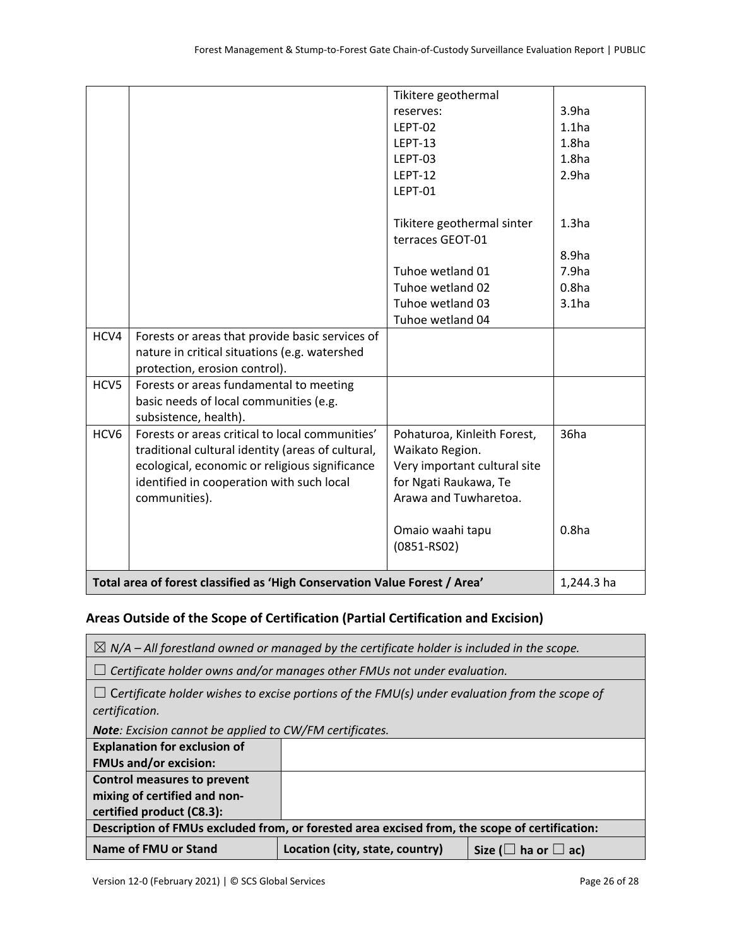|                  |                                                                            | Tikitere geothermal          |                   |
|------------------|----------------------------------------------------------------------------|------------------------------|-------------------|
|                  |                                                                            | reserves:                    | 3.9 <sub>ha</sub> |
|                  |                                                                            | LEPT-02                      | $1.1$ ha          |
|                  |                                                                            | LEPT-13                      | 1.8 <sub>ha</sub> |
|                  |                                                                            | LEPT-03                      | 1.8 <sub>ha</sub> |
|                  |                                                                            | <b>LEPT-12</b>               | 2.9 <sub>ha</sub> |
|                  |                                                                            | LEPT-01                      |                   |
|                  |                                                                            |                              |                   |
|                  |                                                                            | Tikitere geothermal sinter   | 1.3 <sub>ha</sub> |
|                  |                                                                            | terraces GEOT-01             |                   |
|                  |                                                                            |                              | 8.9 <sub>ha</sub> |
|                  |                                                                            | Tuhoe wetland 01             | 7.9 <sub>ha</sub> |
|                  |                                                                            | Tuhoe wetland 02             | 0.8 <sub>ha</sub> |
|                  |                                                                            | Tuhoe wetland 03             | 3.1 <sub>ha</sub> |
|                  |                                                                            | Tuhoe wetland 04             |                   |
| HCV4             | Forests or areas that provide basic services of                            |                              |                   |
|                  | nature in critical situations (e.g. watershed                              |                              |                   |
|                  | protection, erosion control).                                              |                              |                   |
| HCV5             | Forests or areas fundamental to meeting                                    |                              |                   |
|                  | basic needs of local communities (e.g.                                     |                              |                   |
|                  | subsistence, health).                                                      |                              |                   |
| HCV <sub>6</sub> | Forests or areas critical to local communities'                            | Pohaturoa, Kinleith Forest,  | 36ha              |
|                  | traditional cultural identity (areas of cultural,                          | Waikato Region.              |                   |
|                  | ecological, economic or religious significance                             | Very important cultural site |                   |
|                  | identified in cooperation with such local                                  | for Ngati Raukawa, Te        |                   |
|                  | communities).                                                              | Arawa and Tuwharetoa.        |                   |
|                  |                                                                            |                              |                   |
|                  |                                                                            | Omaio waahi tapu             | 0.8 <sub>ha</sub> |
|                  |                                                                            | $(0851 - RS02)$              |                   |
|                  |                                                                            |                              |                   |
|                  | Total area of forest classified as 'High Conservation Value Forest / Area' |                              | 1,244.3 ha        |

#### **Areas Outside of the Scope of Certification (Partial Certification and Excision)**

| $\boxtimes$ N/A – All forestland owned or managed by the certificate holder is included in the scope.                  |                                                                           |                                |  |
|------------------------------------------------------------------------------------------------------------------------|---------------------------------------------------------------------------|--------------------------------|--|
|                                                                                                                        | l Certificate holder owns and/or manages other FMUs not under evaluation. |                                |  |
| $\Box$ Certificate holder wishes to excise portions of the FMU(s) under evaluation from the scope of<br>certification. |                                                                           |                                |  |
|                                                                                                                        | <b>Note:</b> Excision cannot be applied to CW/FM certificates.            |                                |  |
| <b>Explanation for exclusion of</b>                                                                                    |                                                                           |                                |  |
| <b>FMUs and/or excision:</b>                                                                                           |                                                                           |                                |  |
| <b>Control measures to prevent</b>                                                                                     |                                                                           |                                |  |
| mixing of certified and non-                                                                                           |                                                                           |                                |  |
| certified product (C8.3):                                                                                              |                                                                           |                                |  |
| Description of FMUs excluded from, or forested area excised from, the scope of certification:                          |                                                                           |                                |  |
| Name of FMU or Stand                                                                                                   | Location (city, state, country)                                           | Size ( $\Box$ ha or $\Box$ ac) |  |